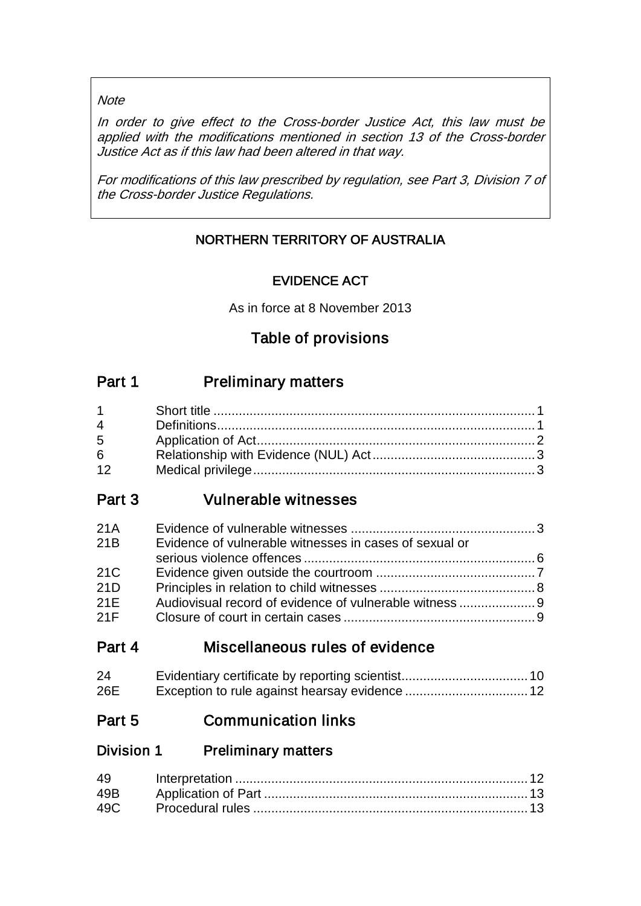#### **Note**

In order to give effect to the Cross-border Justice Act, this law must be applied with the modifications mentioned in section 13 of the Cross-border Justice Act as if this law had been altered in that way.

For modifications of this law prescribed by regulation, see Part 3, Division 7 of the Cross-border Justice Regulations.

# NORTHERN TERRITORY OF AUSTRALIA

# EVIDENCE ACT

As in force at 8 November 2013

# Table of provisions

# Part 1 Preliminary matters

| $1 \quad \blacksquare$ |  |
|------------------------|--|
| $\overline{4}$         |  |
| $5^{\circ}$            |  |
| 6                      |  |
| 12                     |  |

# Part 3 Vulnerable witnesses

# Part 4 Miscellaneous rules of evidence

| 24  |  |
|-----|--|
| 26E |  |

# Part 5 Communication links

# Division 1 Preliminary matters

| 49 |  |
|----|--|
|    |  |
|    |  |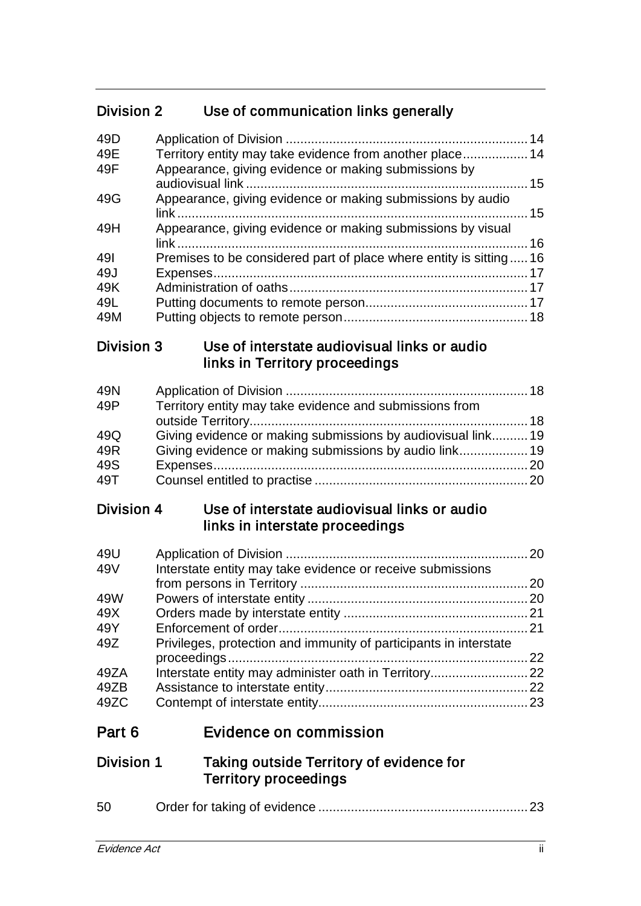# Division 2 Use of communication links generally

| 49 <sub>D</sub><br>49E | Territory entity may take evidence from another place 14          |  |
|------------------------|-------------------------------------------------------------------|--|
| 49F                    | Appearance, giving evidence or making submissions by              |  |
| 49G                    | Appearance, giving evidence or making submissions by audio        |  |
| 49H                    | Appearance, giving evidence or making submissions by visual       |  |
|                        |                                                                   |  |
| 491                    | Premises to be considered part of place where entity is sitting16 |  |
| 49J                    |                                                                   |  |
| 49K                    |                                                                   |  |
| 49L                    |                                                                   |  |
| 49M                    |                                                                   |  |

# Division 3 Use of interstate audiovisual links or audio links in Territory proceedings

| Territory entity may take evidence and submissions from |                                                              |
|---------------------------------------------------------|--------------------------------------------------------------|
|                                                         |                                                              |
|                                                         |                                                              |
|                                                         |                                                              |
|                                                         |                                                              |
|                                                         |                                                              |
|                                                         | Giving evidence or making submissions by audiovisual link 19 |

# Division 4 Use of interstate audiovisual links or audio links in interstate proceedings

| 49U  |                                                                   |    |
|------|-------------------------------------------------------------------|----|
| 49V  | Interstate entity may take evidence or receive submissions        |    |
|      |                                                                   |    |
| 49W  |                                                                   |    |
| 49X  |                                                                   |    |
| 49Y  |                                                                   |    |
| 49Z  | Privileges, protection and immunity of participants in interstate |    |
|      |                                                                   | 22 |
| 49ZA |                                                                   |    |
| 49ZB |                                                                   |    |
| 49ZC |                                                                   |    |
|      |                                                                   |    |

# Part 6 Evidence on commission

# Division 1 Taking outside Territory of evidence for Territory proceedings

| 50 |  |
|----|--|
|    |  |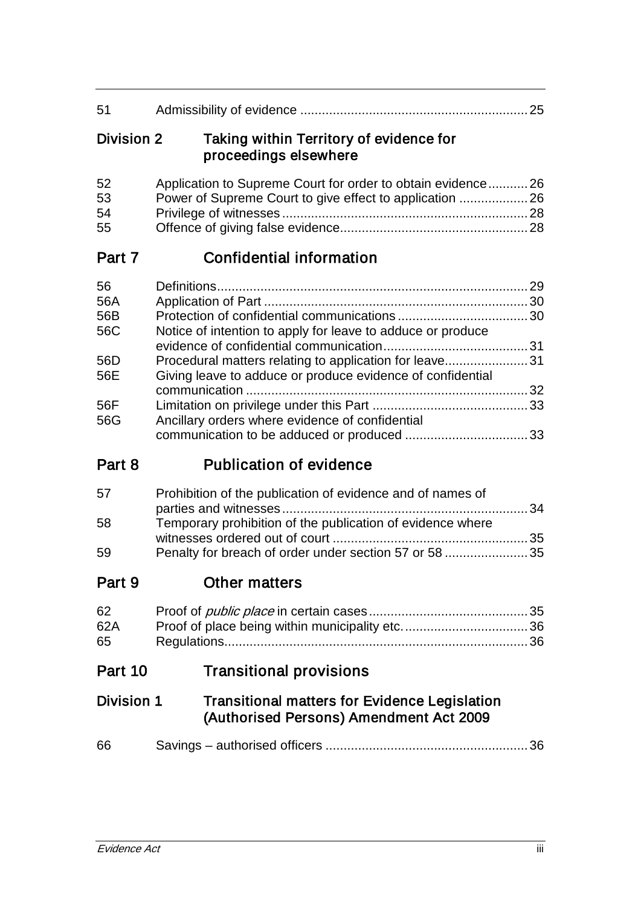| 51                                                  |                                                                                                                                                                                                                                        |  |
|-----------------------------------------------------|----------------------------------------------------------------------------------------------------------------------------------------------------------------------------------------------------------------------------------------|--|
| <b>Division 2</b>                                   | Taking within Territory of evidence for<br>proceedings elsewhere                                                                                                                                                                       |  |
| 52<br>53<br>54<br>55                                | Application to Supreme Court for order to obtain evidence26<br>Power of Supreme Court to give effect to application  26                                                                                                                |  |
| Part 7                                              | <b>Confidential information</b>                                                                                                                                                                                                        |  |
| 56<br>56A<br>56B<br>56C<br>56D<br>56E<br>56F<br>56G | Notice of intention to apply for leave to adduce or produce<br>Procedural matters relating to application for leave31<br>Giving leave to adduce or produce evidence of confidential<br>Ancillary orders where evidence of confidential |  |
| Part 8                                              | <b>Publication of evidence</b>                                                                                                                                                                                                         |  |
| 57<br>58<br>59                                      | Prohibition of the publication of evidence and of names of<br>Temporary prohibition of the publication of evidence where<br>Penalty for breach of order under section 57 or 58  35                                                     |  |
| Part 9                                              | <b>Other matters</b>                                                                                                                                                                                                                   |  |
| 62<br>62A<br>65                                     |                                                                                                                                                                                                                                        |  |
| Part 10                                             | <b>Transitional provisions</b>                                                                                                                                                                                                         |  |
| Division 1                                          | <b>Transitional matters for Evidence Legislation</b><br>(Authorised Persons) Amendment Act 2009                                                                                                                                        |  |
| 66                                                  |                                                                                                                                                                                                                                        |  |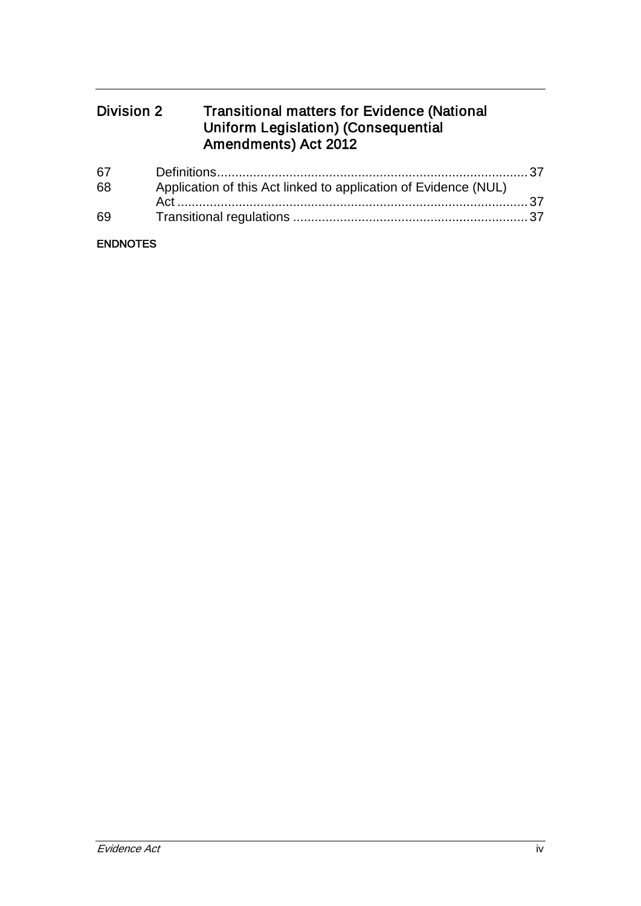# Division 2 Transitional matters for Evidence (National Uniform Legislation) (Consequential Amendments) Act 2012

| 67 |                                                                 |  |
|----|-----------------------------------------------------------------|--|
| 68 | Application of this Act linked to application of Evidence (NUL) |  |
|    |                                                                 |  |
| 69 |                                                                 |  |

#### ENDNOTES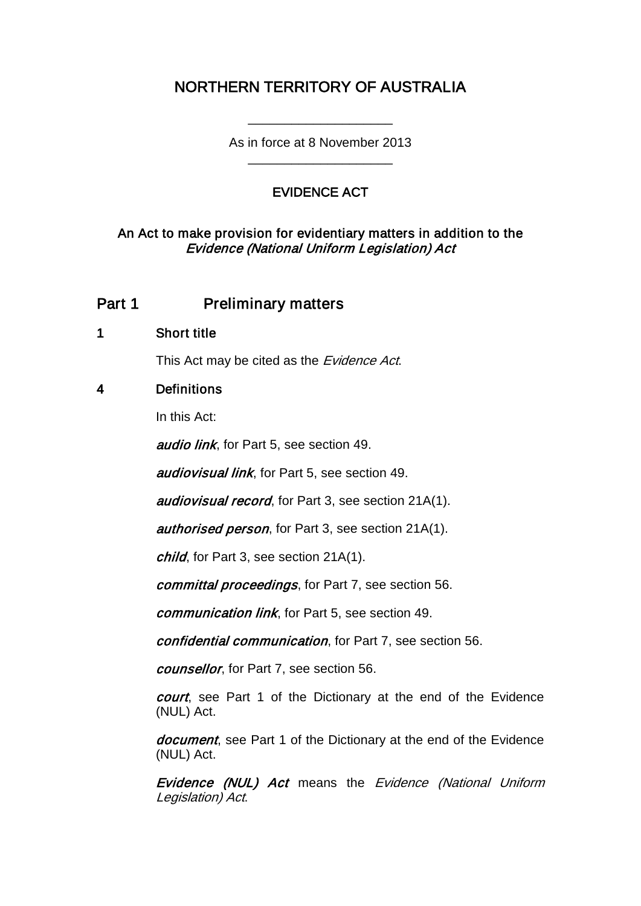# NORTHERN TERRITORY OF AUSTRALIA

As in force at 8 November 2013 \_\_\_\_\_\_\_\_\_\_\_\_\_\_\_\_\_\_\_\_

\_\_\_\_\_\_\_\_\_\_\_\_\_\_\_\_\_\_\_\_

# EVIDENCE ACT

## An Act to make provision for evidentiary matters in addition to the Evidence (National Uniform Legislation) Act

# Part 1 **Preliminary matters**

#### 1 Short title

This Act may be cited as the Evidence Act.

# 4 Definitions

In this Act:

audio link, for Part 5, see section 49.

audiovisual link, for Part 5, see section 49.

audiovisual record, for Part 3, see section 21A(1).

authorised person, for Part 3, see section 21A(1).

child, for Part 3, see section 21A(1).

committal proceedings, for Part 7, see section 56.

communication link, for Part 5, see section 49.

confidential communication, for Part 7, see section 56.

counsellor, for Part 7, see section 56.

court, see Part 1 of the Dictionary at the end of the Evidence (NUL) Act.

document, see Part 1 of the Dictionary at the end of the Evidence (NUL) Act.

Evidence (NUL) Act means the Evidence (National Uniform Legislation) Act.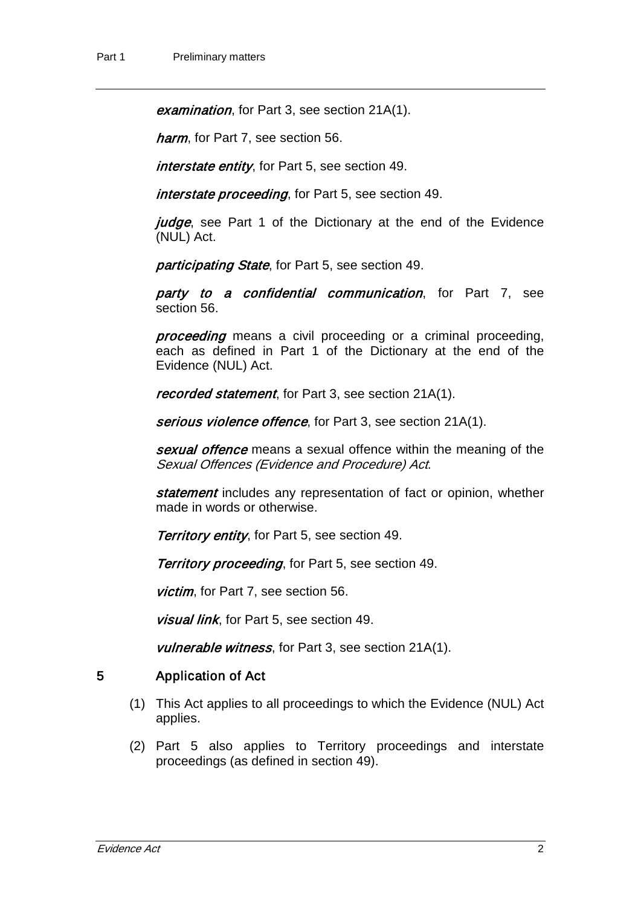examination, for Part 3, see section 21A(1).

harm, for Part 7, see section 56.

interstate entity, for Part 5, see section 49.

interstate proceeding, for Part 5, see section 49.

judge, see Part 1 of the Dictionary at the end of the Evidence (NUL) Act.

participating State, for Part 5, see section 49.

party to a confidential communication, for Part 7, see section 56.

proceeding means a civil proceeding or a criminal proceeding, each as defined in Part 1 of the Dictionary at the end of the Evidence (NUL) Act.

recorded statement, for Part 3, see section 21A(1).

serious violence offence, for Part 3, see section 21A(1).

sexual offence means a sexual offence within the meaning of the Sexual Offences (Evidence and Procedure) Act.

statement includes any representation of fact or opinion, whether made in words or otherwise.

**Territory entity, for Part 5, see section 49.** 

**Territory proceeding, for Part 5, see section 49.** 

victim, for Part 7, see section 56.

visual link, for Part 5, see section 49.

vulnerable witness, for Part 3, see section 21A(1).

#### 5 Application of Act

- (1) This Act applies to all proceedings to which the Evidence (NUL) Act applies.
- (2) Part 5 also applies to Territory proceedings and interstate proceedings (as defined in section 49).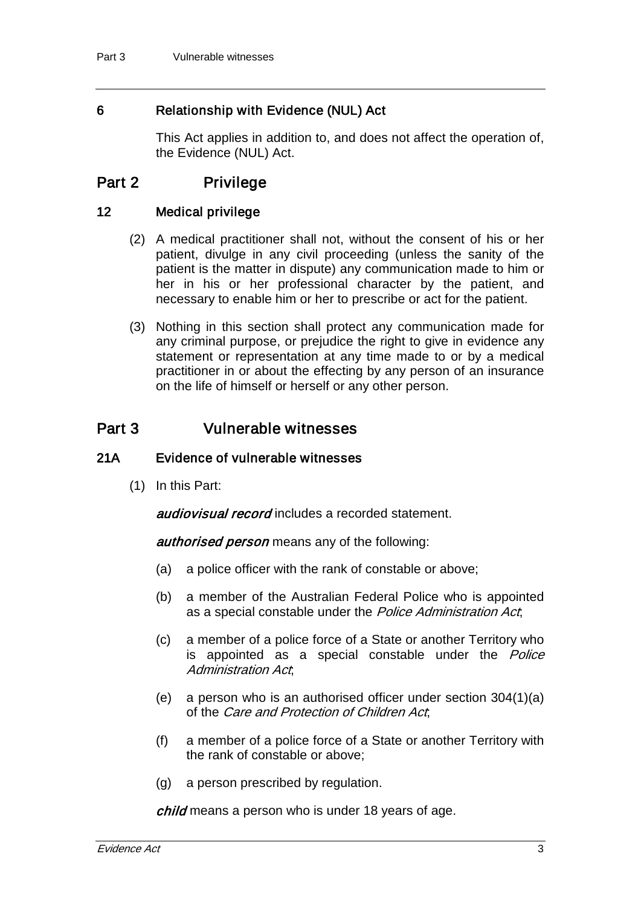# 6 Relationship with Evidence (NUL) Act

This Act applies in addition to, and does not affect the operation of, the Evidence (NUL) Act.

# Part 2 Privilege

## 12 Medical privilege

- (2) A medical practitioner shall not, without the consent of his or her patient, divulge in any civil proceeding (unless the sanity of the patient is the matter in dispute) any communication made to him or her in his or her professional character by the patient, and necessary to enable him or her to prescribe or act for the patient.
- (3) Nothing in this section shall protect any communication made for any criminal purpose, or prejudice the right to give in evidence any statement or representation at any time made to or by a medical practitioner in or about the effecting by any person of an insurance on the life of himself or herself or any other person.

# Part 3 Vulnerable witnesses

## 21A Evidence of vulnerable witnesses

(1) In this Part:

**audiovisual record** includes a recorded statement.

authorised person means any of the following:

- (a) a police officer with the rank of constable or above;
- (b) a member of the Australian Federal Police who is appointed as a special constable under the Police Administration Act,
- (c) a member of a police force of a State or another Territory who is appointed as a special constable under the Police Administration Act;
- (e) a person who is an authorised officer under section 304(1)(a) of the Care and Protection of Children Act;
- (f) a member of a police force of a State or another Territory with the rank of constable or above;
- (g) a person prescribed by regulation.

child means a person who is under 18 years of age.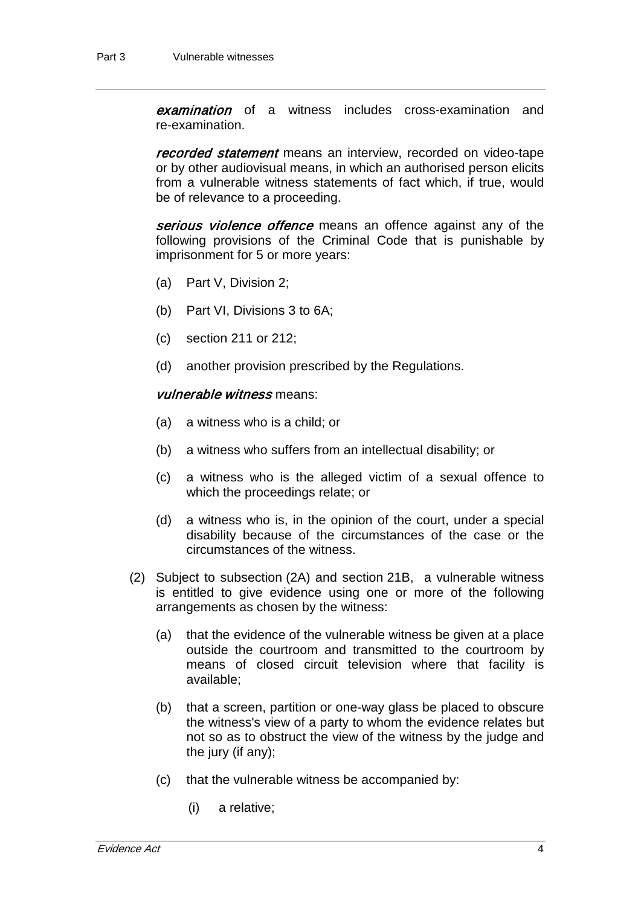**examination** of a witness includes cross-examination and re-examination.

recorded statement means an interview, recorded on video-tape or by other audiovisual means, in which an authorised person elicits from a vulnerable witness statements of fact which, if true, would be of relevance to a proceeding.

serious violence offence means an offence against any of the following provisions of the Criminal Code that is punishable by imprisonment for 5 or more years:

- (a) Part V, Division 2;
- (b) Part VI, Divisions 3 to 6A;
- (c) section 211 or 212;
- (d) another provision prescribed by the Regulations.

#### vulnerable witness means:

- (a) a witness who is a child; or
- (b) a witness who suffers from an intellectual disability; or
- (c) a witness who is the alleged victim of a sexual offence to which the proceedings relate; or
- (d) a witness who is, in the opinion of the court, under a special disability because of the circumstances of the case or the circumstances of the witness.
- (2) Subject to subsection (2A) and section 21B, a vulnerable witness is entitled to give evidence using one or more of the following arrangements as chosen by the witness:
	- (a) that the evidence of the vulnerable witness be given at a place outside the courtroom and transmitted to the courtroom by means of closed circuit television where that facility is available;
	- (b) that a screen, partition or one-way glass be placed to obscure the witness's view of a party to whom the evidence relates but not so as to obstruct the view of the witness by the judge and the jury (if any);
	- (c) that the vulnerable witness be accompanied by:
		- (i) a relative;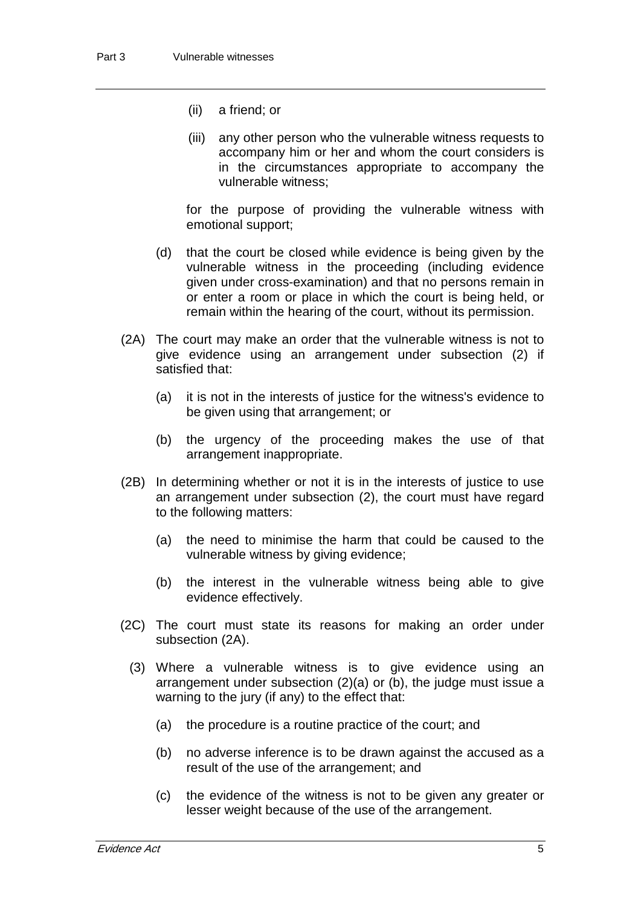- (ii) a friend; or
- (iii) any other person who the vulnerable witness requests to accompany him or her and whom the court considers is in the circumstances appropriate to accompany the vulnerable witness;

for the purpose of providing the vulnerable witness with emotional support;

- (d) that the court be closed while evidence is being given by the vulnerable witness in the proceeding (including evidence given under cross-examination) and that no persons remain in or enter a room or place in which the court is being held, or remain within the hearing of the court, without its permission.
- (2A) The court may make an order that the vulnerable witness is not to give evidence using an arrangement under subsection (2) if satisfied that:
	- (a) it is not in the interests of justice for the witness's evidence to be given using that arrangement; or
	- (b) the urgency of the proceeding makes the use of that arrangement inappropriate.
- (2B) In determining whether or not it is in the interests of justice to use an arrangement under subsection (2), the court must have regard to the following matters:
	- (a) the need to minimise the harm that could be caused to the vulnerable witness by giving evidence;
	- (b) the interest in the vulnerable witness being able to give evidence effectively.
- (2C) The court must state its reasons for making an order under subsection (2A).
	- (3) Where a vulnerable witness is to give evidence using an arrangement under subsection (2)(a) or (b), the judge must issue a warning to the jury (if any) to the effect that:
		- (a) the procedure is a routine practice of the court; and
		- (b) no adverse inference is to be drawn against the accused as a result of the use of the arrangement; and
		- (c) the evidence of the witness is not to be given any greater or lesser weight because of the use of the arrangement.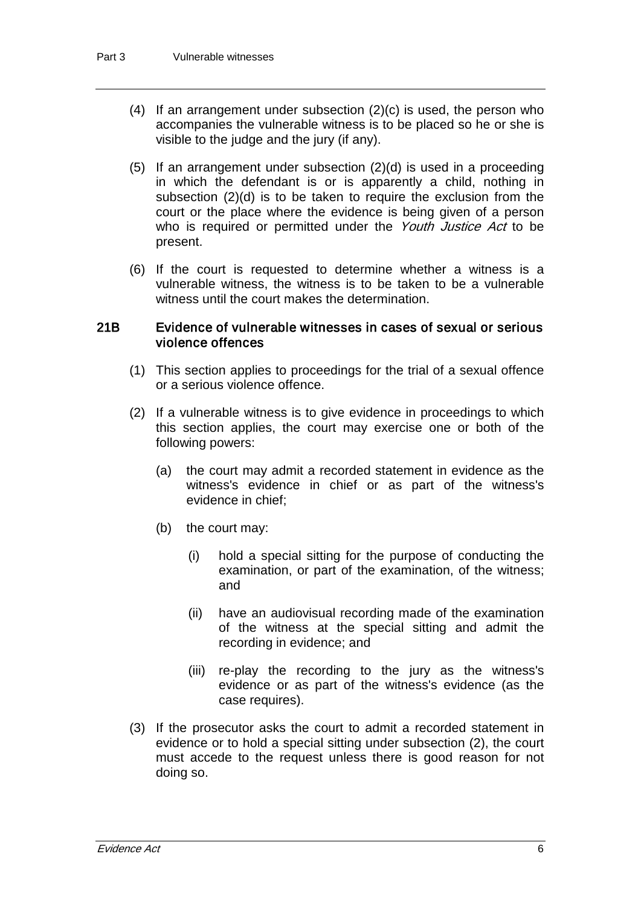- (4) If an arrangement under subsection (2)(c) is used, the person who accompanies the vulnerable witness is to be placed so he or she is visible to the judge and the jury (if any).
- (5) If an arrangement under subsection (2)(d) is used in a proceeding in which the defendant is or is apparently a child, nothing in subsection (2)(d) is to be taken to require the exclusion from the court or the place where the evidence is being given of a person who is required or permitted under the Youth Justice Act to be present.
- (6) If the court is requested to determine whether a witness is a vulnerable witness, the witness is to be taken to be a vulnerable witness until the court makes the determination.

#### 21B Evidence of vulnerable witnesses in cases of sexual or serious violence offences

- (1) This section applies to proceedings for the trial of a sexual offence or a serious violence offence.
- (2) If a vulnerable witness is to give evidence in proceedings to which this section applies, the court may exercise one or both of the following powers:
	- (a) the court may admit a recorded statement in evidence as the witness's evidence in chief or as part of the witness's evidence in chief;
	- (b) the court may:
		- (i) hold a special sitting for the purpose of conducting the examination, or part of the examination, of the witness; and
		- (ii) have an audiovisual recording made of the examination of the witness at the special sitting and admit the recording in evidence; and
		- (iii) re-play the recording to the jury as the witness's evidence or as part of the witness's evidence (as the case requires).
- (3) If the prosecutor asks the court to admit a recorded statement in evidence or to hold a special sitting under subsection (2), the court must accede to the request unless there is good reason for not doing so.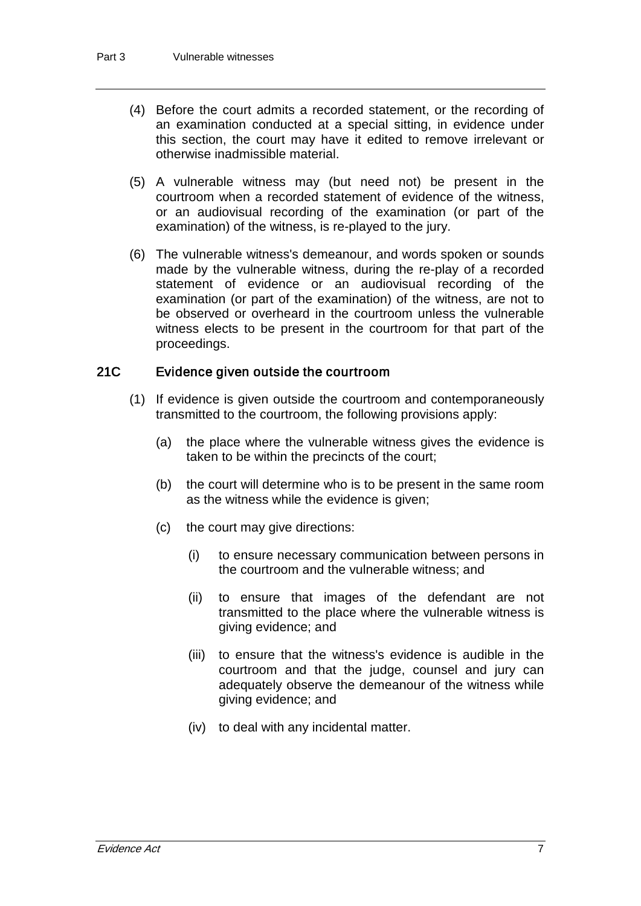- (4) Before the court admits a recorded statement, or the recording of an examination conducted at a special sitting, in evidence under this section, the court may have it edited to remove irrelevant or otherwise inadmissible material.
- (5) A vulnerable witness may (but need not) be present in the courtroom when a recorded statement of evidence of the witness, or an audiovisual recording of the examination (or part of the examination) of the witness, is re-played to the jury.
- (6) The vulnerable witness's demeanour, and words spoken or sounds made by the vulnerable witness, during the re-play of a recorded statement of evidence or an audiovisual recording of the examination (or part of the examination) of the witness, are not to be observed or overheard in the courtroom unless the vulnerable witness elects to be present in the courtroom for that part of the proceedings.

## 21C Evidence given outside the courtroom

- (1) If evidence is given outside the courtroom and contemporaneously transmitted to the courtroom, the following provisions apply:
	- (a) the place where the vulnerable witness gives the evidence is taken to be within the precincts of the court;
	- (b) the court will determine who is to be present in the same room as the witness while the evidence is given;
	- (c) the court may give directions:
		- (i) to ensure necessary communication between persons in the courtroom and the vulnerable witness; and
		- (ii) to ensure that images of the defendant are not transmitted to the place where the vulnerable witness is giving evidence; and
		- (iii) to ensure that the witness's evidence is audible in the courtroom and that the judge, counsel and jury can adequately observe the demeanour of the witness while giving evidence; and
		- (iv) to deal with any incidental matter.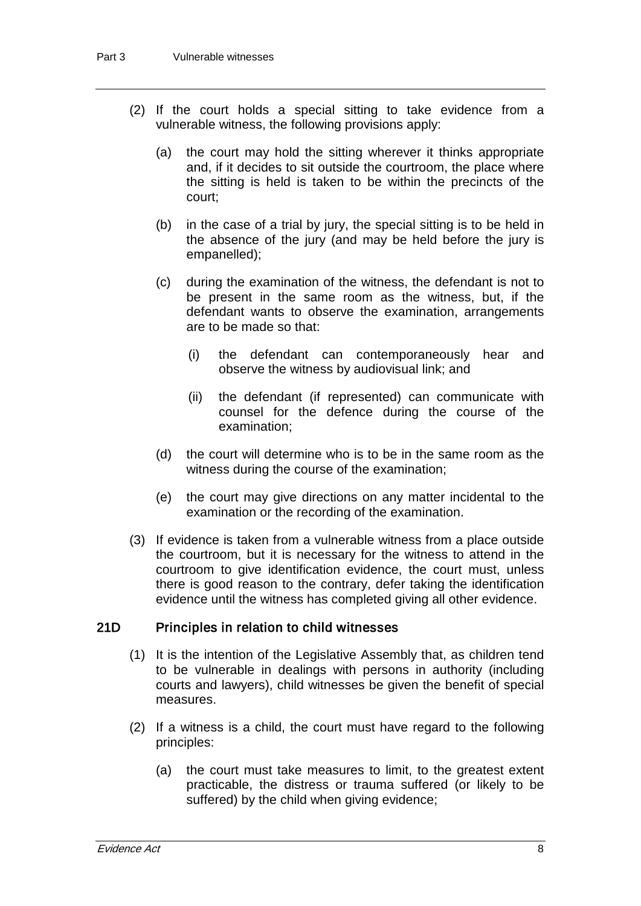- (2) If the court holds a special sitting to take evidence from a vulnerable witness, the following provisions apply:
	- (a) the court may hold the sitting wherever it thinks appropriate and, if it decides to sit outside the courtroom, the place where the sitting is held is taken to be within the precincts of the court;
	- (b) in the case of a trial by jury, the special sitting is to be held in the absence of the jury (and may be held before the jury is empanelled);
	- (c) during the examination of the witness, the defendant is not to be present in the same room as the witness, but, if the defendant wants to observe the examination, arrangements are to be made so that:
		- (i) the defendant can contemporaneously hear and observe the witness by audiovisual link; and
		- (ii) the defendant (if represented) can communicate with counsel for the defence during the course of the examination;
	- (d) the court will determine who is to be in the same room as the witness during the course of the examination;
	- (e) the court may give directions on any matter incidental to the examination or the recording of the examination.
- (3) If evidence is taken from a vulnerable witness from a place outside the courtroom, but it is necessary for the witness to attend in the courtroom to give identification evidence, the court must, unless there is good reason to the contrary, defer taking the identification evidence until the witness has completed giving all other evidence.

## 21D Principles in relation to child witnesses

- (1) It is the intention of the Legislative Assembly that, as children tend to be vulnerable in dealings with persons in authority (including courts and lawyers), child witnesses be given the benefit of special measures.
- (2) If a witness is a child, the court must have regard to the following principles:
	- (a) the court must take measures to limit, to the greatest extent practicable, the distress or trauma suffered (or likely to be suffered) by the child when giving evidence;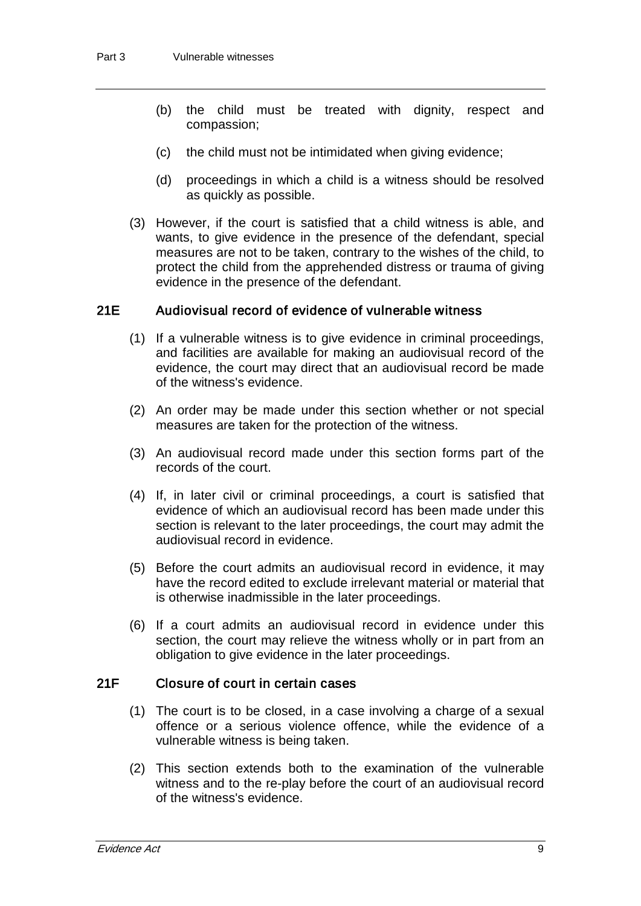- (b) the child must be treated with dignity, respect and compassion;
- (c) the child must not be intimidated when giving evidence;
- (d) proceedings in which a child is a witness should be resolved as quickly as possible.
- (3) However, if the court is satisfied that a child witness is able, and wants, to give evidence in the presence of the defendant, special measures are not to be taken, contrary to the wishes of the child, to protect the child from the apprehended distress or trauma of giving evidence in the presence of the defendant.

#### 21E Audiovisual record of evidence of vulnerable witness

- (1) If a vulnerable witness is to give evidence in criminal proceedings, and facilities are available for making an audiovisual record of the evidence, the court may direct that an audiovisual record be made of the witness's evidence.
- (2) An order may be made under this section whether or not special measures are taken for the protection of the witness.
- (3) An audiovisual record made under this section forms part of the records of the court.
- (4) If, in later civil or criminal proceedings, a court is satisfied that evidence of which an audiovisual record has been made under this section is relevant to the later proceedings, the court may admit the audiovisual record in evidence.
- (5) Before the court admits an audiovisual record in evidence, it may have the record edited to exclude irrelevant material or material that is otherwise inadmissible in the later proceedings.
- (6) If a court admits an audiovisual record in evidence under this section, the court may relieve the witness wholly or in part from an obligation to give evidence in the later proceedings.

#### 21F Closure of court in certain cases

- (1) The court is to be closed, in a case involving a charge of a sexual offence or a serious violence offence, while the evidence of a vulnerable witness is being taken.
- (2) This section extends both to the examination of the vulnerable witness and to the re-play before the court of an audiovisual record of the witness's evidence.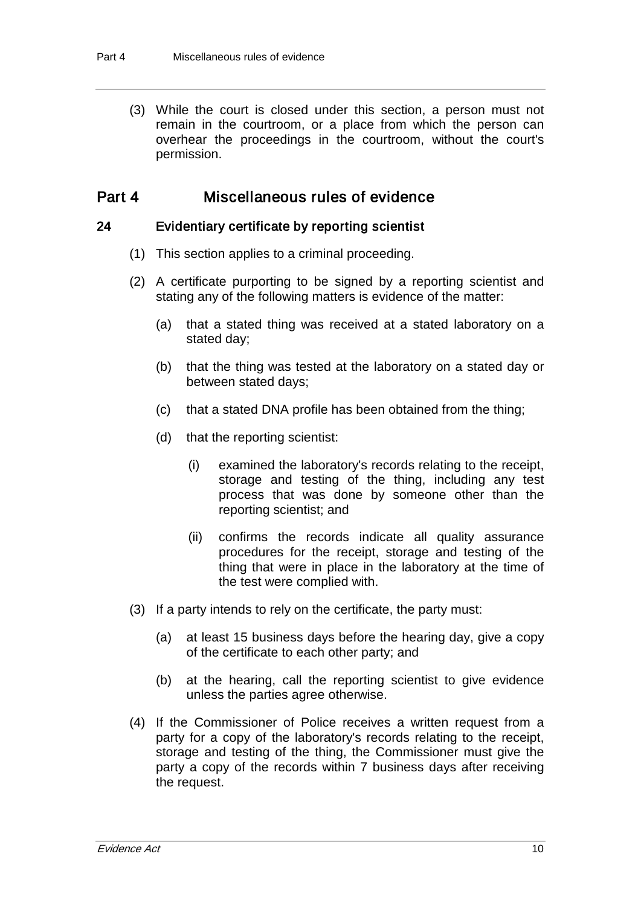(3) While the court is closed under this section, a person must not remain in the courtroom, or a place from which the person can overhear the proceedings in the courtroom, without the court's permission.

# Part 4 Miscellaneous rules of evidence

#### 24 Evidentiary certificate by reporting scientist

- (1) This section applies to a criminal proceeding.
- (2) A certificate purporting to be signed by a reporting scientist and stating any of the following matters is evidence of the matter:
	- (a) that a stated thing was received at a stated laboratory on a stated day;
	- (b) that the thing was tested at the laboratory on a stated day or between stated days;
	- (c) that a stated DNA profile has been obtained from the thing;
	- (d) that the reporting scientist:
		- (i) examined the laboratory's records relating to the receipt, storage and testing of the thing, including any test process that was done by someone other than the reporting scientist; and
		- (ii) confirms the records indicate all quality assurance procedures for the receipt, storage and testing of the thing that were in place in the laboratory at the time of the test were complied with.
- (3) If a party intends to rely on the certificate, the party must:
	- (a) at least 15 business days before the hearing day, give a copy of the certificate to each other party; and
	- (b) at the hearing, call the reporting scientist to give evidence unless the parties agree otherwise.
- (4) If the Commissioner of Police receives a written request from a party for a copy of the laboratory's records relating to the receipt, storage and testing of the thing, the Commissioner must give the party a copy of the records within 7 business days after receiving the request.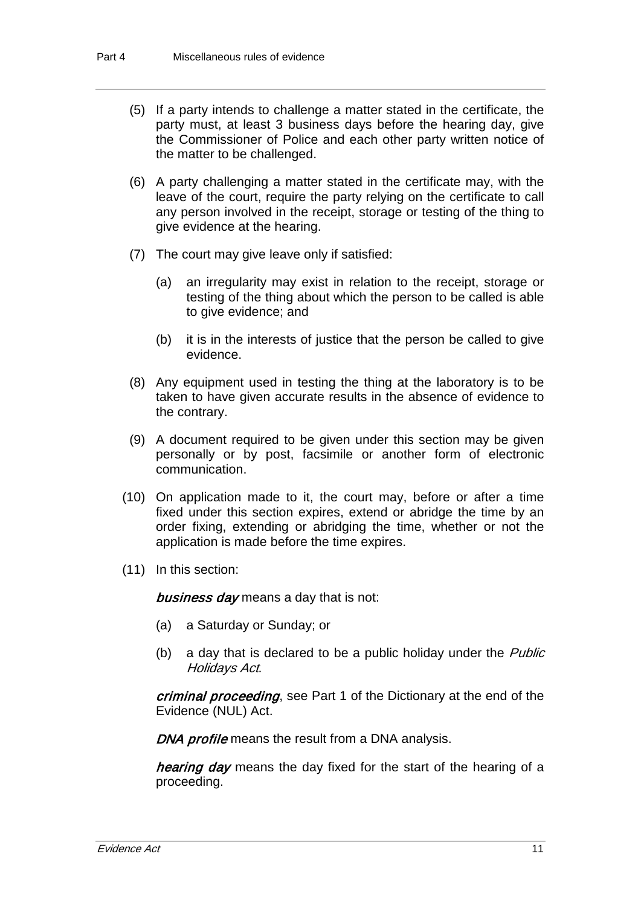- (5) If a party intends to challenge a matter stated in the certificate, the party must, at least 3 business days before the hearing day, give the Commissioner of Police and each other party written notice of the matter to be challenged.
- (6) A party challenging a matter stated in the certificate may, with the leave of the court, require the party relying on the certificate to call any person involved in the receipt, storage or testing of the thing to give evidence at the hearing.
- (7) The court may give leave only if satisfied:
	- (a) an irregularity may exist in relation to the receipt, storage or testing of the thing about which the person to be called is able to give evidence; and
	- (b) it is in the interests of justice that the person be called to give evidence.
- (8) Any equipment used in testing the thing at the laboratory is to be taken to have given accurate results in the absence of evidence to the contrary.
- (9) A document required to be given under this section may be given personally or by post, facsimile or another form of electronic communication.
- (10) On application made to it, the court may, before or after a time fixed under this section expires, extend or abridge the time by an order fixing, extending or abridging the time, whether or not the application is made before the time expires.
- (11) In this section:

**business day** means a day that is not:

- (a) a Saturday or Sunday; or
- (b) a day that is declared to be a public holiday under the *Public* Holidays Act.

criminal proceeding, see Part 1 of the Dictionary at the end of the Evidence (NUL) Act.

**DNA profile** means the result from a DNA analysis.

hearing day means the day fixed for the start of the hearing of a proceeding.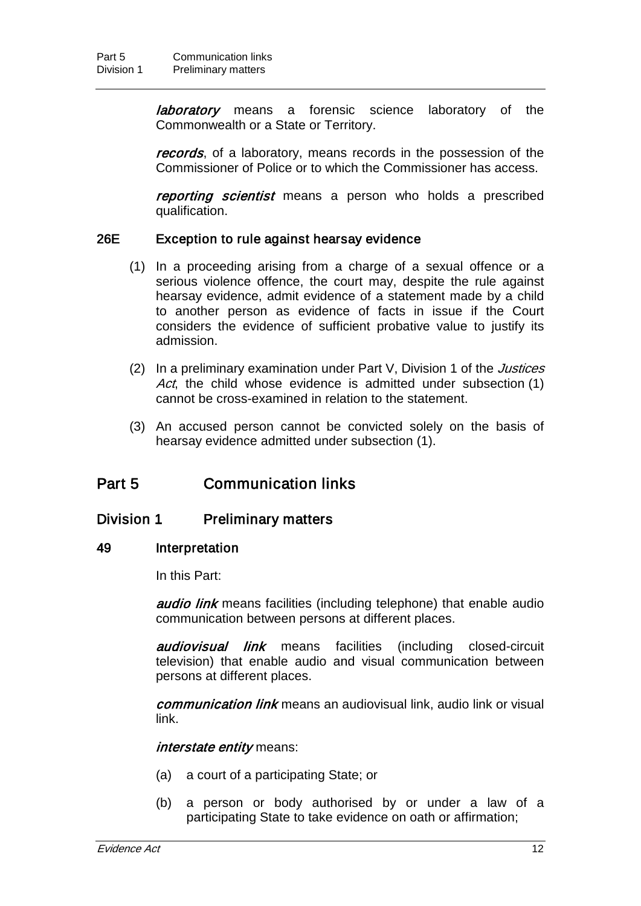laboratory means a forensic science laboratory of the Commonwealth or a State or Territory.

records, of a laboratory, means records in the possession of the Commissioner of Police or to which the Commissioner has access.

reporting scientist means a person who holds a prescribed qualification.

#### 26E Exception to rule against hearsay evidence

- (1) In a proceeding arising from a charge of a sexual offence or a serious violence offence, the court may, despite the rule against hearsay evidence, admit evidence of a statement made by a child to another person as evidence of facts in issue if the Court considers the evidence of sufficient probative value to justify its admission.
- (2) In a preliminary examination under Part V, Division 1 of the *Justices* Act, the child whose evidence is admitted under subsection (1) cannot be cross-examined in relation to the statement.
- (3) An accused person cannot be convicted solely on the basis of hearsay evidence admitted under subsection (1).

# Part 5 Communication links

## Division 1 Preliminary matters

#### 49 Interpretation

In this Part:

**audio link** means facilities (including telephone) that enable audio communication between persons at different places.

**audiovisual link** means facilities (including closed-circuit television) that enable audio and visual communication between persons at different places.

communication link means an audiovisual link, audio link or visual link.

#### interstate entity means:

- (a) a court of a participating State; or
- (b) a person or body authorised by or under a law of a participating State to take evidence on oath or affirmation;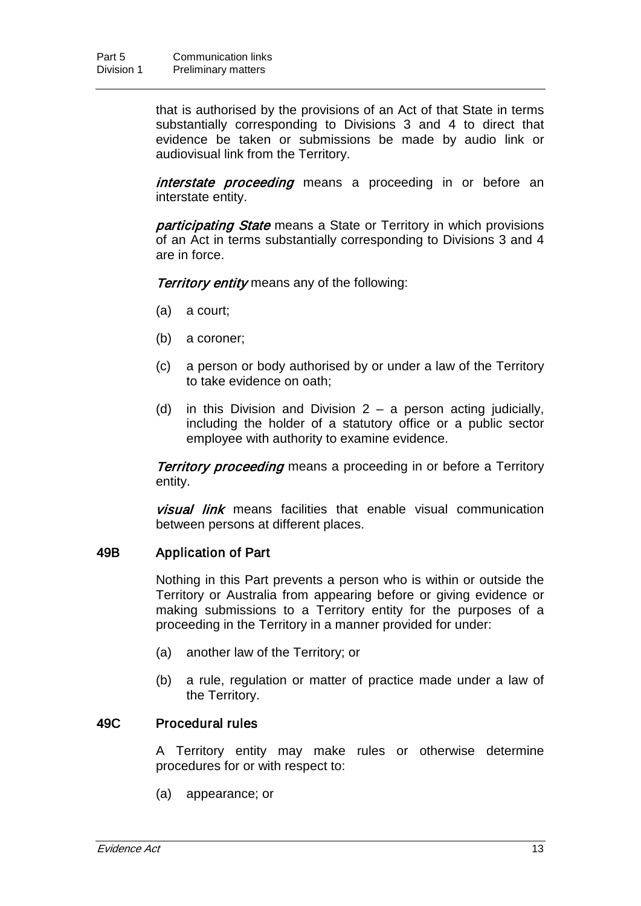that is authorised by the provisions of an Act of that State in terms substantially corresponding to Divisions 3 and 4 to direct that evidence be taken or submissions be made by audio link or audiovisual link from the Territory.

interstate proceeding means a proceeding in or before an interstate entity.

**participating State** means a State or Territory in which provisions of an Act in terms substantially corresponding to Divisions 3 and 4 are in force.

**Territory entity** means any of the following:

- (a) a court;
- (b) a coroner;
- (c) a person or body authorised by or under a law of the Territory to take evidence on oath;
- (d) in this Division and Division  $2 a$  person acting judicially, including the holder of a statutory office or a public sector employee with authority to examine evidence.

**Territory proceeding** means a proceeding in or before a Territory entity.

**visual link** means facilities that enable visual communication between persons at different places.

#### 49B Application of Part

Nothing in this Part prevents a person who is within or outside the Territory or Australia from appearing before or giving evidence or making submissions to a Territory entity for the purposes of a proceeding in the Territory in a manner provided for under:

- (a) another law of the Territory; or
- (b) a rule, regulation or matter of practice made under a law of the Territory.

#### 49C Procedural rules

A Territory entity may make rules or otherwise determine procedures for or with respect to:

(a) appearance; or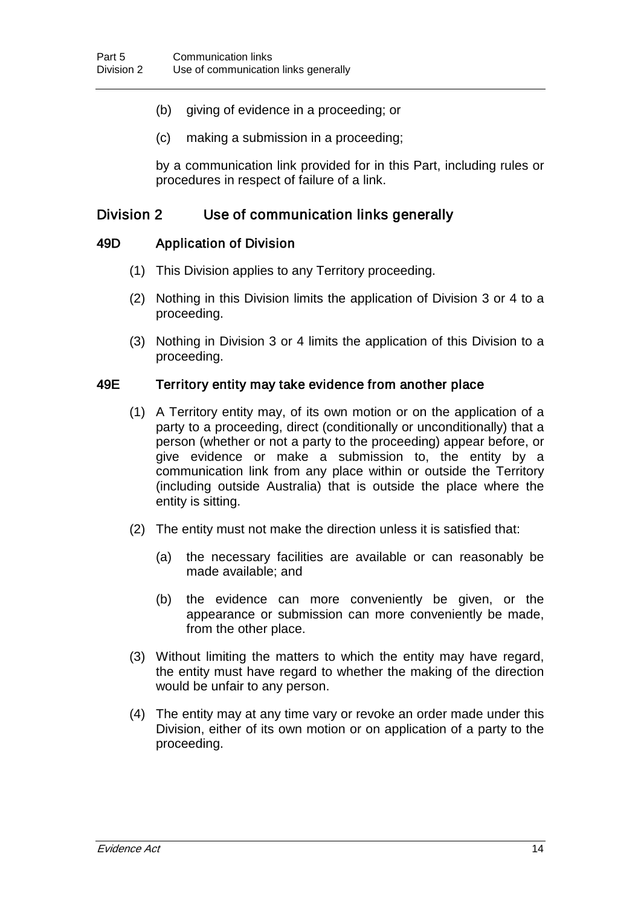- (b) giving of evidence in a proceeding; or
- (c) making a submission in a proceeding;

by a communication link provided for in this Part, including rules or procedures in respect of failure of a link.

## Division 2 Use of communication links generally

#### 49D Application of Division

- (1) This Division applies to any Territory proceeding.
- (2) Nothing in this Division limits the application of Division 3 or 4 to a proceeding.
- (3) Nothing in Division 3 or 4 limits the application of this Division to a proceeding.

#### 49E Territory entity may take evidence from another place

- (1) A Territory entity may, of its own motion or on the application of a party to a proceeding, direct (conditionally or unconditionally) that a person (whether or not a party to the proceeding) appear before, or give evidence or make a submission to, the entity by a communication link from any place within or outside the Territory (including outside Australia) that is outside the place where the entity is sitting.
- (2) The entity must not make the direction unless it is satisfied that:
	- (a) the necessary facilities are available or can reasonably be made available; and
	- (b) the evidence can more conveniently be given, or the appearance or submission can more conveniently be made, from the other place.
- (3) Without limiting the matters to which the entity may have regard, the entity must have regard to whether the making of the direction would be unfair to any person.
- (4) The entity may at any time vary or revoke an order made under this Division, either of its own motion or on application of a party to the proceeding.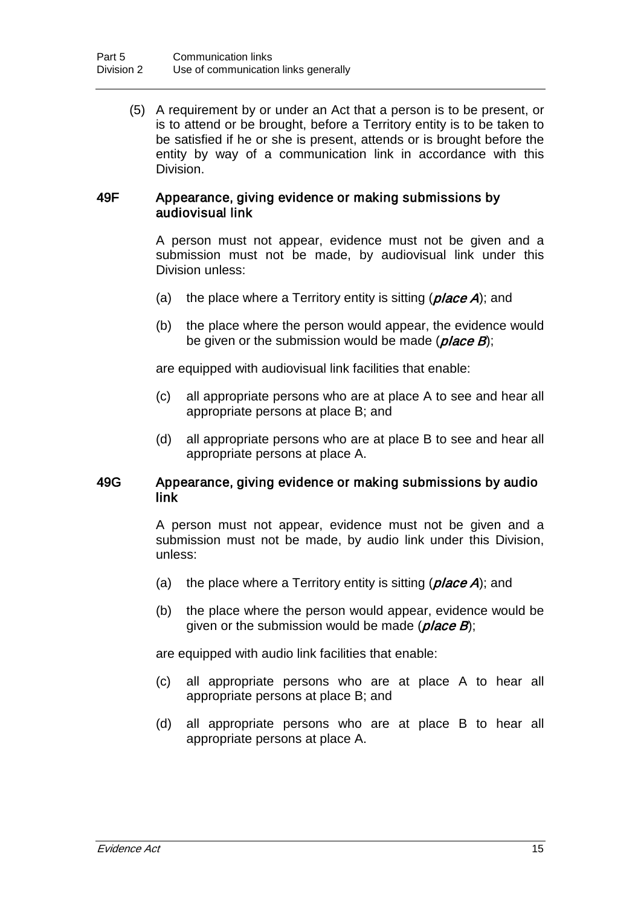(5) A requirement by or under an Act that a person is to be present, or is to attend or be brought, before a Territory entity is to be taken to be satisfied if he or she is present, attends or is brought before the entity by way of a communication link in accordance with this Division.

#### 49F Appearance, giving evidence or making submissions by audiovisual link

A person must not appear, evidence must not be given and a submission must not be made, by audiovisual link under this Division unless:

- (a) the place where a Territory entity is sitting  $(\textit{place A})$ ; and
- (b) the place where the person would appear, the evidence would be given or the submission would be made  $(\textit{place } B)$ ;

are equipped with audiovisual link facilities that enable:

- (c) all appropriate persons who are at place A to see and hear all appropriate persons at place B; and
- (d) all appropriate persons who are at place B to see and hear all appropriate persons at place A.

#### 49G Appearance, giving evidence or making submissions by audio link

A person must not appear, evidence must not be given and a submission must not be made, by audio link under this Division, unless:

- (a) the place where a Territory entity is sitting  $(\textit{place A})$ ; and
- (b) the place where the person would appear, evidence would be given or the submission would be made  $(\textit{place } B)$ ;

are equipped with audio link facilities that enable:

- (c) all appropriate persons who are at place A to hear all appropriate persons at place B; and
- (d) all appropriate persons who are at place B to hear all appropriate persons at place A.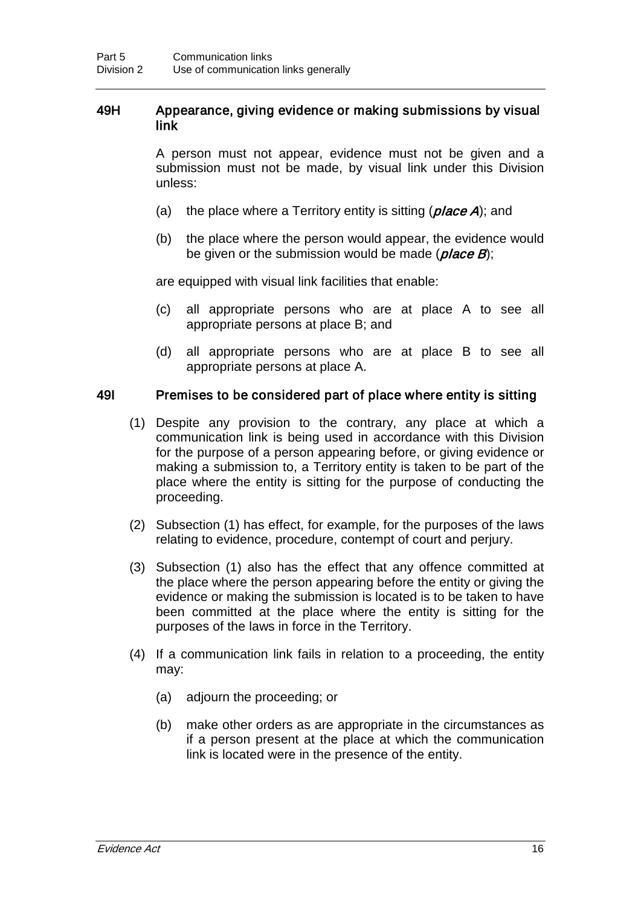#### 49H Appearance, giving evidence or making submissions by visual link

A person must not appear, evidence must not be given and a submission must not be made, by visual link under this Division unless:

- (a) the place where a Territory entity is sitting  $(\rho|ace\,A)$ ; and
- (b) the place where the person would appear, the evidence would be given or the submission would be made (*place B*):

are equipped with visual link facilities that enable:

- (c) all appropriate persons who are at place A to see all appropriate persons at place B; and
- (d) all appropriate persons who are at place B to see all appropriate persons at place A.

#### 49I Premises to be considered part of place where entity is sitting

- (1) Despite any provision to the contrary, any place at which a communication link is being used in accordance with this Division for the purpose of a person appearing before, or giving evidence or making a submission to, a Territory entity is taken to be part of the place where the entity is sitting for the purpose of conducting the proceeding.
- (2) Subsection (1) has effect, for example, for the purposes of the laws relating to evidence, procedure, contempt of court and perjury.
- (3) Subsection (1) also has the effect that any offence committed at the place where the person appearing before the entity or giving the evidence or making the submission is located is to be taken to have been committed at the place where the entity is sitting for the purposes of the laws in force in the Territory.
- (4) If a communication link fails in relation to a proceeding, the entity may:
	- (a) adjourn the proceeding; or
	- (b) make other orders as are appropriate in the circumstances as if a person present at the place at which the communication link is located were in the presence of the entity.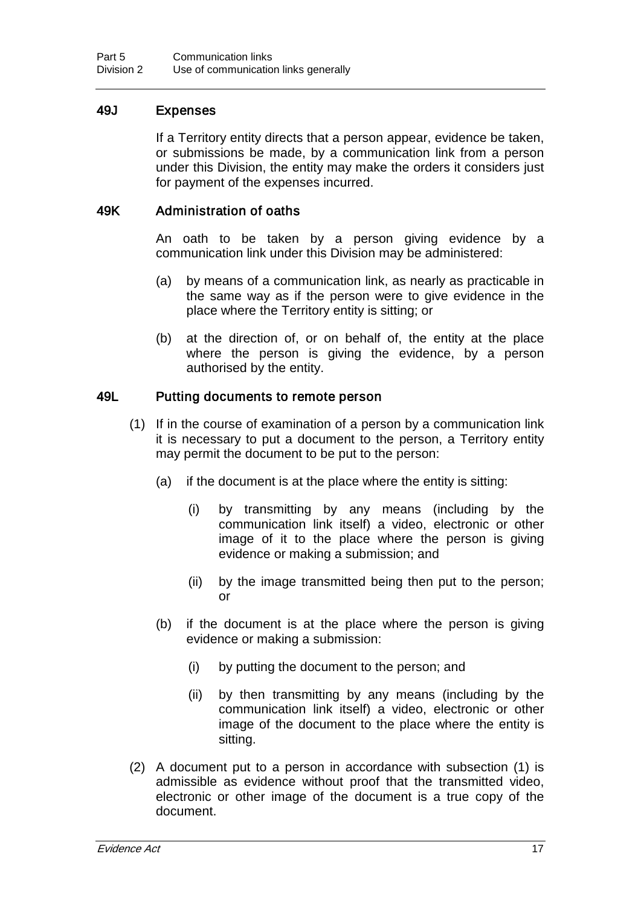#### 49J Expenses

If a Territory entity directs that a person appear, evidence be taken, or submissions be made, by a communication link from a person under this Division, the entity may make the orders it considers just for payment of the expenses incurred.

#### 49K Administration of oaths

An oath to be taken by a person giving evidence by a communication link under this Division may be administered:

- (a) by means of a communication link, as nearly as practicable in the same way as if the person were to give evidence in the place where the Territory entity is sitting; or
- (b) at the direction of, or on behalf of, the entity at the place where the person is giving the evidence, by a person authorised by the entity.

#### 49L Putting documents to remote person

- (1) If in the course of examination of a person by a communication link it is necessary to put a document to the person, a Territory entity may permit the document to be put to the person:
	- (a) if the document is at the place where the entity is sitting:
		- (i) by transmitting by any means (including by the communication link itself) a video, electronic or other image of it to the place where the person is giving evidence or making a submission; and
		- (ii) by the image transmitted being then put to the person; or
	- (b) if the document is at the place where the person is giving evidence or making a submission:
		- (i) by putting the document to the person; and
		- (ii) by then transmitting by any means (including by the communication link itself) a video, electronic or other image of the document to the place where the entity is sitting.
- (2) A document put to a person in accordance with subsection (1) is admissible as evidence without proof that the transmitted video, electronic or other image of the document is a true copy of the document.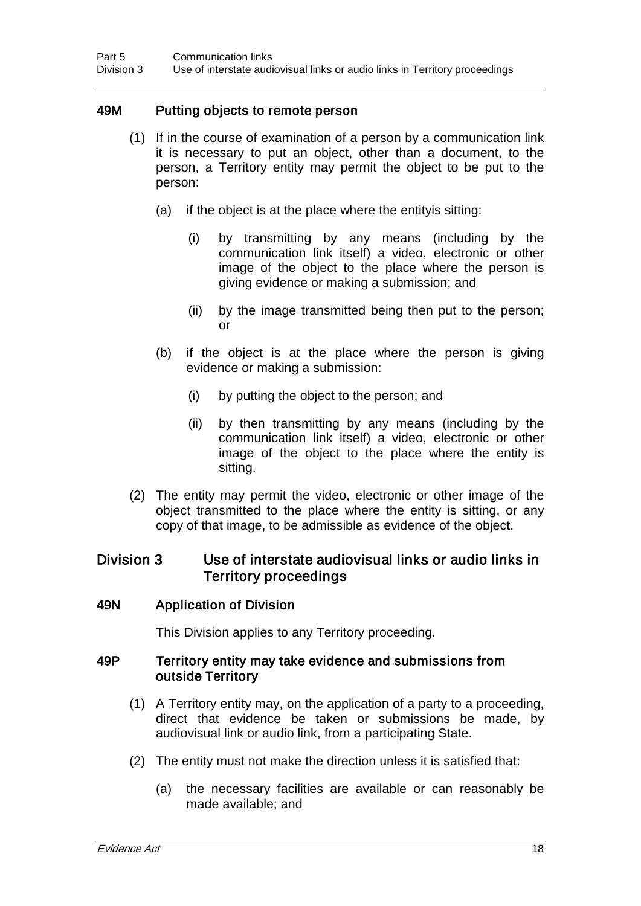## 49M Putting objects to remote person

- (1) If in the course of examination of a person by a communication link it is necessary to put an object, other than a document, to the person, a Territory entity may permit the object to be put to the person:
	- (a) if the object is at the place where the entityis sitting:
		- (i) by transmitting by any means (including by the communication link itself) a video, electronic or other image of the object to the place where the person is giving evidence or making a submission; and
		- (ii) by the image transmitted being then put to the person; or
	- (b) if the object is at the place where the person is giving evidence or making a submission:
		- (i) by putting the object to the person; and
		- (ii) by then transmitting by any means (including by the communication link itself) a video, electronic or other image of the object to the place where the entity is sitting.
- (2) The entity may permit the video, electronic or other image of the object transmitted to the place where the entity is sitting, or any copy of that image, to be admissible as evidence of the object.

# Division 3 Use of interstate audiovisual links or audio links in Territory proceedings

#### 49N Application of Division

This Division applies to any Territory proceeding.

#### 49P Territory entity may take evidence and submissions from outside Territory

- (1) A Territory entity may, on the application of a party to a proceeding, direct that evidence be taken or submissions be made, by audiovisual link or audio link, from a participating State.
- (2) The entity must not make the direction unless it is satisfied that:
	- (a) the necessary facilities are available or can reasonably be made available; and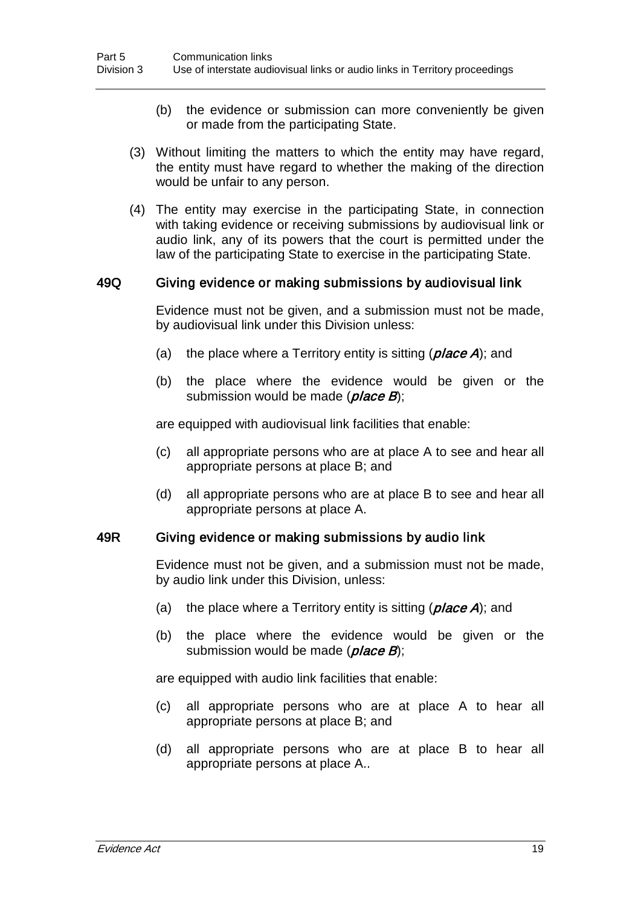- (b) the evidence or submission can more conveniently be given or made from the participating State.
- (3) Without limiting the matters to which the entity may have regard, the entity must have regard to whether the making of the direction would be unfair to any person.
- (4) The entity may exercise in the participating State, in connection with taking evidence or receiving submissions by audiovisual link or audio link, any of its powers that the court is permitted under the law of the participating State to exercise in the participating State.

#### 49Q Giving evidence or making submissions by audiovisual link

Evidence must not be given, and a submission must not be made, by audiovisual link under this Division unless:

- (a) the place where a Territory entity is sitting  $(\textit{place A})$ ; and
- (b) the place where the evidence would be given or the submission would be made  $(\textit{place } B)$ ;

are equipped with audiovisual link facilities that enable:

- (c) all appropriate persons who are at place A to see and hear all appropriate persons at place B; and
- (d) all appropriate persons who are at place B to see and hear all appropriate persons at place A.

#### 49R Giving evidence or making submissions by audio link

Evidence must not be given, and a submission must not be made, by audio link under this Division, unless:

- (a) the place where a Territory entity is sitting  $(\textit{place A})$ ; and
- (b) the place where the evidence would be given or the submission would be made  $(\rho| \text{face } B)$ ;

are equipped with audio link facilities that enable:

- (c) all appropriate persons who are at place A to hear all appropriate persons at place B; and
- (d) all appropriate persons who are at place B to hear all appropriate persons at place A..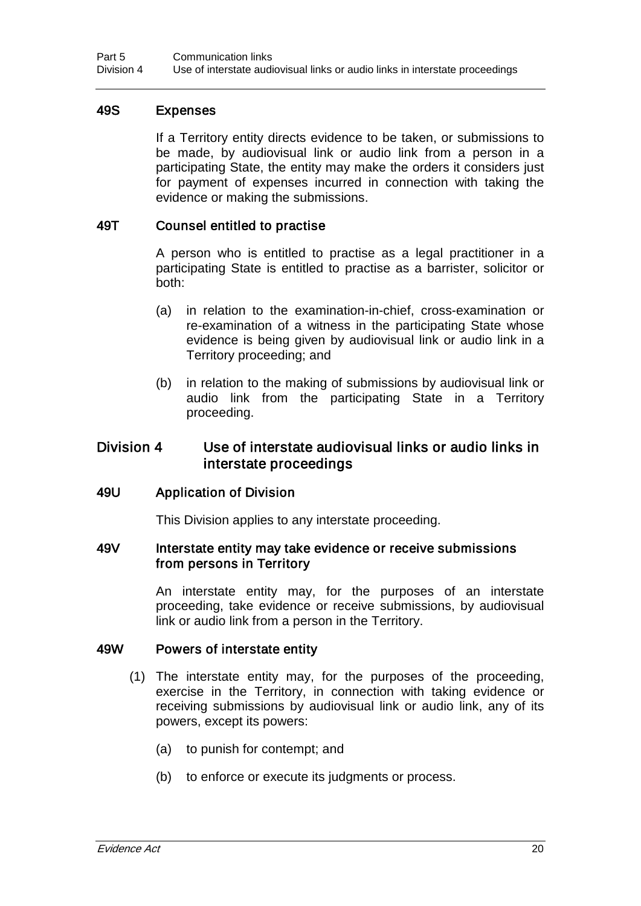#### 49S Expenses

If a Territory entity directs evidence to be taken, or submissions to be made, by audiovisual link or audio link from a person in a participating State, the entity may make the orders it considers just for payment of expenses incurred in connection with taking the evidence or making the submissions.

#### 49T Counsel entitled to practise

A person who is entitled to practise as a legal practitioner in a participating State is entitled to practise as a barrister, solicitor or both:

- (a) in relation to the examination-in-chief, cross-examination or re-examination of a witness in the participating State whose evidence is being given by audiovisual link or audio link in a Territory proceeding; and
- (b) in relation to the making of submissions by audiovisual link or audio link from the participating State in a Territory proceeding.

# Division 4 Use of interstate audiovisual links or audio links in interstate proceedings

#### 49U Application of Division

This Division applies to any interstate proceeding.

#### 49V Interstate entity may take evidence or receive submissions from persons in Territory

An interstate entity may, for the purposes of an interstate proceeding, take evidence or receive submissions, by audiovisual link or audio link from a person in the Territory.

#### 49W Powers of interstate entity

- (1) The interstate entity may, for the purposes of the proceeding, exercise in the Territory, in connection with taking evidence or receiving submissions by audiovisual link or audio link, any of its powers, except its powers:
	- (a) to punish for contempt; and
	- (b) to enforce or execute its judgments or process.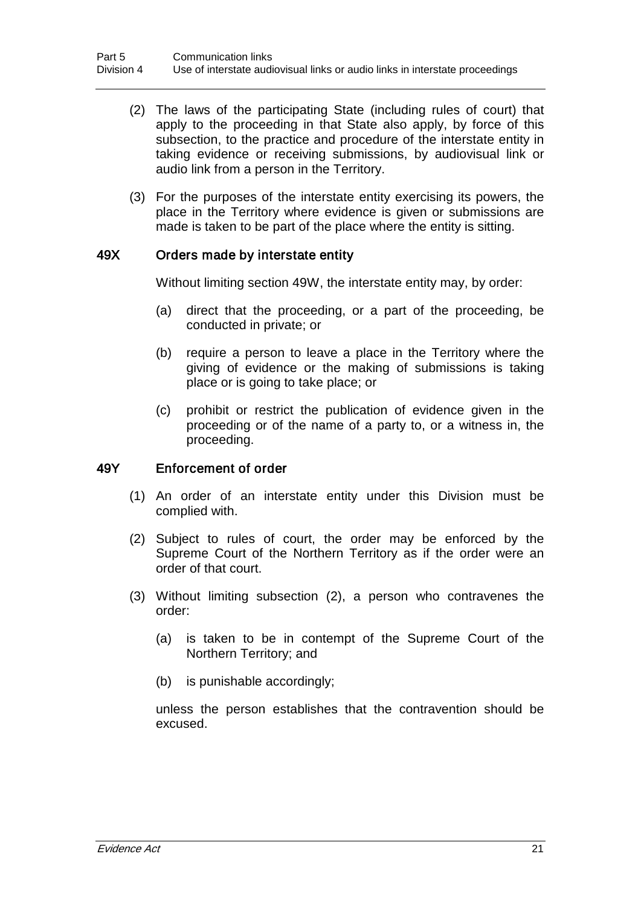- (2) The laws of the participating State (including rules of court) that apply to the proceeding in that State also apply, by force of this subsection, to the practice and procedure of the interstate entity in taking evidence or receiving submissions, by audiovisual link or audio link from a person in the Territory.
- (3) For the purposes of the interstate entity exercising its powers, the place in the Territory where evidence is given or submissions are made is taken to be part of the place where the entity is sitting.

#### 49X Orders made by interstate entity

Without limiting section 49W, the interstate entity may, by order:

- (a) direct that the proceeding, or a part of the proceeding, be conducted in private; or
- (b) require a person to leave a place in the Territory where the giving of evidence or the making of submissions is taking place or is going to take place; or
- (c) prohibit or restrict the publication of evidence given in the proceeding or of the name of a party to, or a witness in, the proceeding.

#### 49Y Enforcement of order

- (1) An order of an interstate entity under this Division must be complied with.
- (2) Subject to rules of court, the order may be enforced by the Supreme Court of the Northern Territory as if the order were an order of that court.
- (3) Without limiting subsection (2), a person who contravenes the order:
	- (a) is taken to be in contempt of the Supreme Court of the Northern Territory; and
	- (b) is punishable accordingly;

unless the person establishes that the contravention should be excused.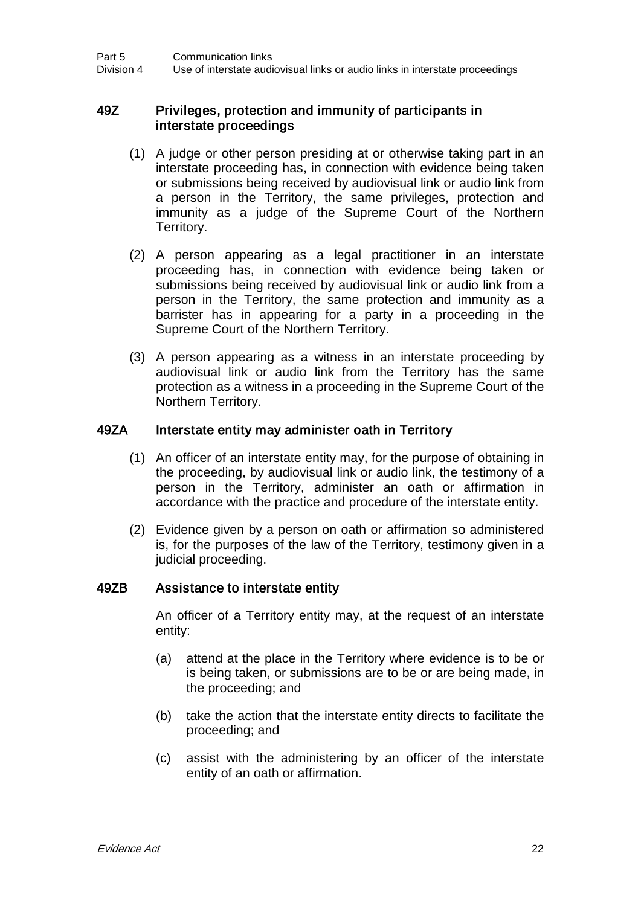#### 49Z Privileges, protection and immunity of participants in interstate proceedings

- (1) A judge or other person presiding at or otherwise taking part in an interstate proceeding has, in connection with evidence being taken or submissions being received by audiovisual link or audio link from a person in the Territory, the same privileges, protection and immunity as a judge of the Supreme Court of the Northern Territory.
- (2) A person appearing as a legal practitioner in an interstate proceeding has, in connection with evidence being taken or submissions being received by audiovisual link or audio link from a person in the Territory, the same protection and immunity as a barrister has in appearing for a party in a proceeding in the Supreme Court of the Northern Territory.
- (3) A person appearing as a witness in an interstate proceeding by audiovisual link or audio link from the Territory has the same protection as a witness in a proceeding in the Supreme Court of the Northern Territory.

## 49ZA Interstate entity may administer oath in Territory

- (1) An officer of an interstate entity may, for the purpose of obtaining in the proceeding, by audiovisual link or audio link, the testimony of a person in the Territory, administer an oath or affirmation in accordance with the practice and procedure of the interstate entity.
- (2) Evidence given by a person on oath or affirmation so administered is, for the purposes of the law of the Territory, testimony given in a judicial proceeding.

#### 49ZB Assistance to interstate entity

An officer of a Territory entity may, at the request of an interstate entity:

- (a) attend at the place in the Territory where evidence is to be or is being taken, or submissions are to be or are being made, in the proceeding; and
- (b) take the action that the interstate entity directs to facilitate the proceeding; and
- (c) assist with the administering by an officer of the interstate entity of an oath or affirmation.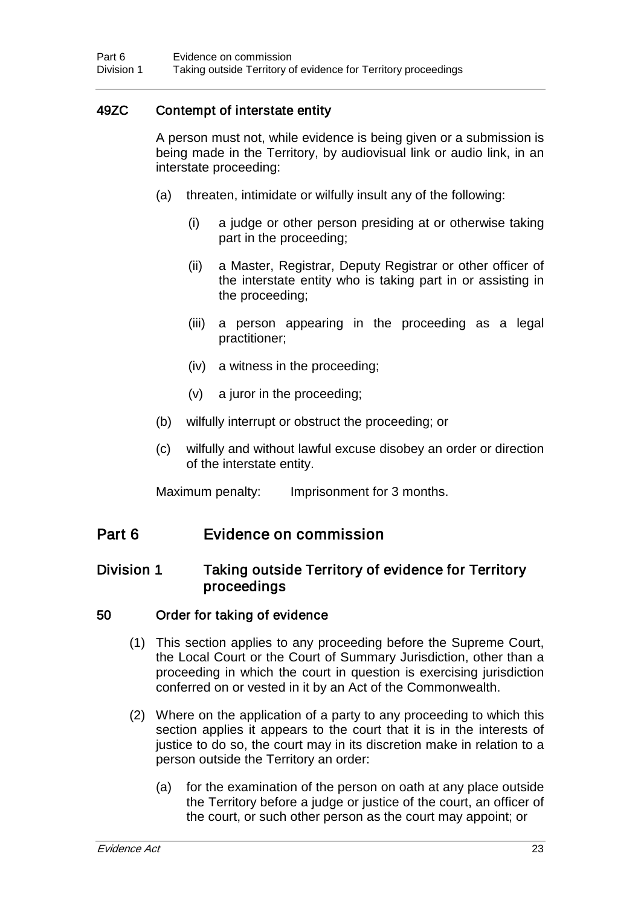# 49ZC Contempt of interstate entity

A person must not, while evidence is being given or a submission is being made in the Territory, by audiovisual link or audio link, in an interstate proceeding:

- (a) threaten, intimidate or wilfully insult any of the following:
	- (i) a judge or other person presiding at or otherwise taking part in the proceeding;
	- (ii) a Master, Registrar, Deputy Registrar or other officer of the interstate entity who is taking part in or assisting in the proceeding;
	- (iii) a person appearing in the proceeding as a legal practitioner;
	- (iv) a witness in the proceeding;
	- (v) a juror in the proceeding;
- (b) wilfully interrupt or obstruct the proceeding; or
- (c) wilfully and without lawful excuse disobey an order or direction of the interstate entity.

Maximum penalty: Imprisonment for 3 months.

# Part 6 Evidence on commission

# Division 1 Taking outside Territory of evidence for Territory proceedings

#### 50 Order for taking of evidence

- (1) This section applies to any proceeding before the Supreme Court, the Local Court or the Court of Summary Jurisdiction, other than a proceeding in which the court in question is exercising jurisdiction conferred on or vested in it by an Act of the Commonwealth.
- (2) Where on the application of a party to any proceeding to which this section applies it appears to the court that it is in the interests of justice to do so, the court may in its discretion make in relation to a person outside the Territory an order:
	- (a) for the examination of the person on oath at any place outside the Territory before a judge or justice of the court, an officer of the court, or such other person as the court may appoint; or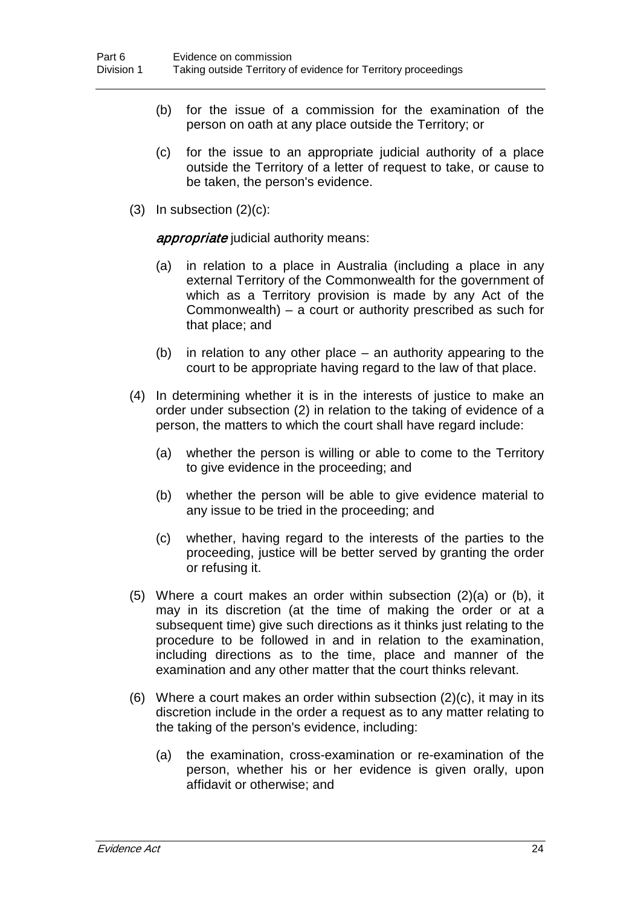- (b) for the issue of a commission for the examination of the person on oath at any place outside the Territory; or
- (c) for the issue to an appropriate judicial authority of a place outside the Territory of a letter of request to take, or cause to be taken, the person's evidence.
- $(3)$  In subsection  $(2)(c)$ :

appropriate judicial authority means:

- (a) in relation to a place in Australia (including a place in any external Territory of the Commonwealth for the government of which as a Territory provision is made by any Act of the Commonwealth) – a court or authority prescribed as such for that place; and
- (b) in relation to any other place an authority appearing to the court to be appropriate having regard to the law of that place.
- (4) In determining whether it is in the interests of justice to make an order under subsection (2) in relation to the taking of evidence of a person, the matters to which the court shall have regard include:
	- (a) whether the person is willing or able to come to the Territory to give evidence in the proceeding; and
	- (b) whether the person will be able to give evidence material to any issue to be tried in the proceeding; and
	- (c) whether, having regard to the interests of the parties to the proceeding, justice will be better served by granting the order or refusing it.
- (5) Where a court makes an order within subsection (2)(a) or (b), it may in its discretion (at the time of making the order or at a subsequent time) give such directions as it thinks just relating to the procedure to be followed in and in relation to the examination, including directions as to the time, place and manner of the examination and any other matter that the court thinks relevant.
- (6) Where a court makes an order within subsection (2)(c), it may in its discretion include in the order a request as to any matter relating to the taking of the person's evidence, including:
	- (a) the examination, cross-examination or re-examination of the person, whether his or her evidence is given orally, upon affidavit or otherwise; and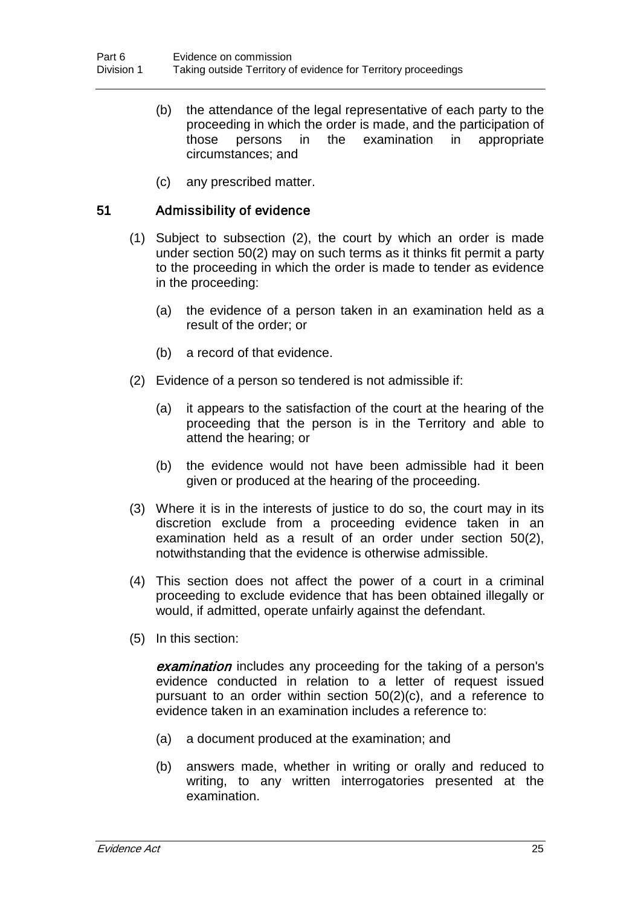- (b) the attendance of the legal representative of each party to the proceeding in which the order is made, and the participation of those persons in the examination in appropriate examination in circumstances; and
- (c) any prescribed matter.

## 51 Admissibility of evidence

- (1) Subject to subsection (2), the court by which an order is made under section 50(2) may on such terms as it thinks fit permit a party to the proceeding in which the order is made to tender as evidence in the proceeding:
	- (a) the evidence of a person taken in an examination held as a result of the order; or
	- (b) a record of that evidence.
- (2) Evidence of a person so tendered is not admissible if:
	- (a) it appears to the satisfaction of the court at the hearing of the proceeding that the person is in the Territory and able to attend the hearing; or
	- (b) the evidence would not have been admissible had it been given or produced at the hearing of the proceeding.
- (3) Where it is in the interests of justice to do so, the court may in its discretion exclude from a proceeding evidence taken in an examination held as a result of an order under section 50(2), notwithstanding that the evidence is otherwise admissible.
- (4) This section does not affect the power of a court in a criminal proceeding to exclude evidence that has been obtained illegally or would, if admitted, operate unfairly against the defendant.
- (5) In this section:

**examination** includes any proceeding for the taking of a person's evidence conducted in relation to a letter of request issued pursuant to an order within section 50(2)(c), and a reference to evidence taken in an examination includes a reference to:

- (a) a document produced at the examination; and
- (b) answers made, whether in writing or orally and reduced to writing, to any written interrogatories presented at the examination.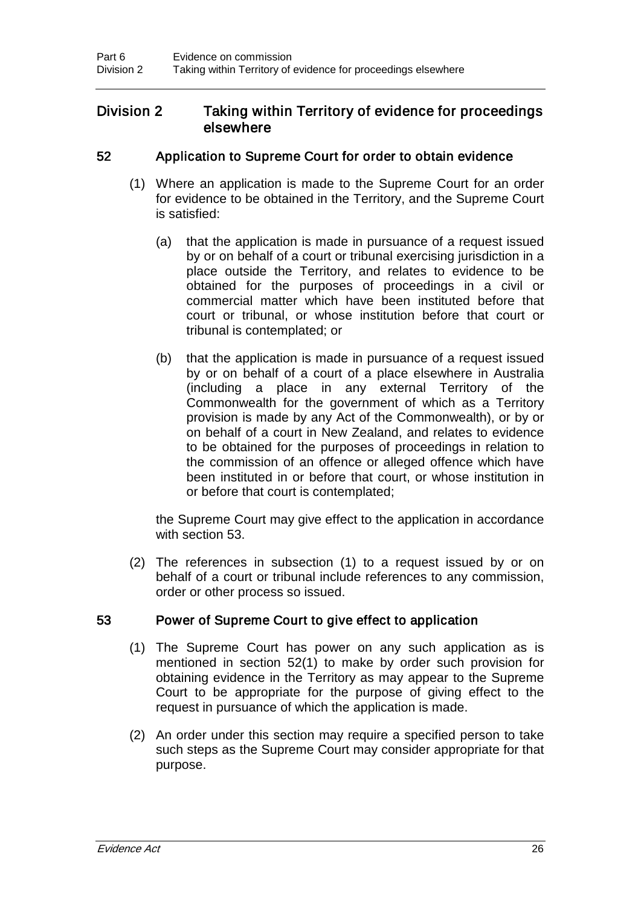# Division 2 Taking within Territory of evidence for proceedings elsewhere

## 52 Application to Supreme Court for order to obtain evidence

- (1) Where an application is made to the Supreme Court for an order for evidence to be obtained in the Territory, and the Supreme Court is satisfied:
	- (a) that the application is made in pursuance of a request issued by or on behalf of a court or tribunal exercising jurisdiction in a place outside the Territory, and relates to evidence to be obtained for the purposes of proceedings in a civil or commercial matter which have been instituted before that court or tribunal, or whose institution before that court or tribunal is contemplated; or
	- (b) that the application is made in pursuance of a request issued by or on behalf of a court of a place elsewhere in Australia (including a place in any external Territory of the Commonwealth for the government of which as a Territory provision is made by any Act of the Commonwealth), or by or on behalf of a court in New Zealand, and relates to evidence to be obtained for the purposes of proceedings in relation to the commission of an offence or alleged offence which have been instituted in or before that court, or whose institution in or before that court is contemplated;

the Supreme Court may give effect to the application in accordance with section 53.

(2) The references in subsection (1) to a request issued by or on behalf of a court or tribunal include references to any commission, order or other process so issued.

## 53 Power of Supreme Court to give effect to application

- (1) The Supreme Court has power on any such application as is mentioned in section 52(1) to make by order such provision for obtaining evidence in the Territory as may appear to the Supreme Court to be appropriate for the purpose of giving effect to the request in pursuance of which the application is made.
- (2) An order under this section may require a specified person to take such steps as the Supreme Court may consider appropriate for that purpose.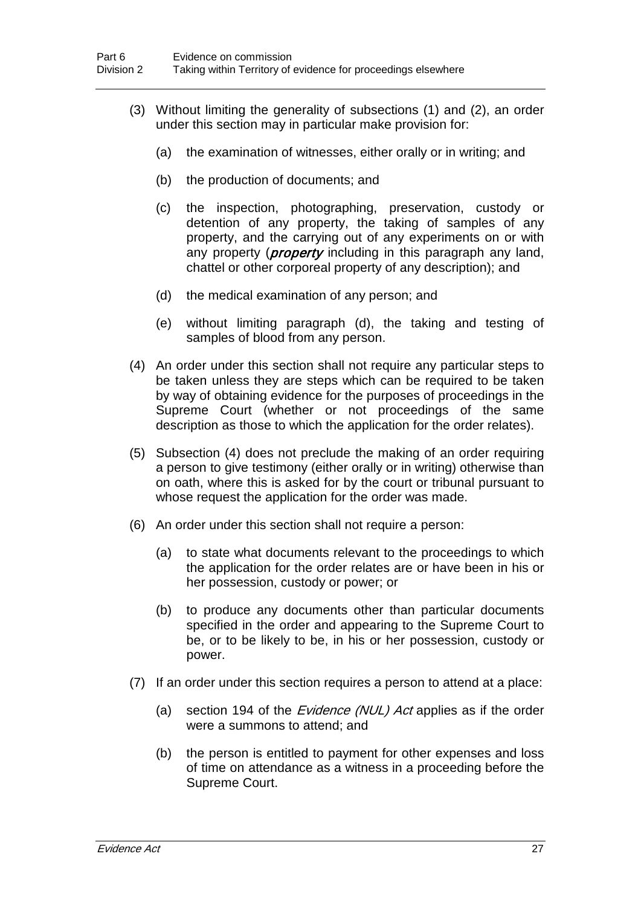- (3) Without limiting the generality of subsections (1) and (2), an order under this section may in particular make provision for:
	- (a) the examination of witnesses, either orally or in writing; and
	- (b) the production of documents; and
	- (c) the inspection, photographing, preservation, custody or detention of any property, the taking of samples of any property, and the carrying out of any experiments on or with any property (*property* including in this paragraph any land, chattel or other corporeal property of any description); and
	- (d) the medical examination of any person; and
	- (e) without limiting paragraph (d), the taking and testing of samples of blood from any person.
- (4) An order under this section shall not require any particular steps to be taken unless they are steps which can be required to be taken by way of obtaining evidence for the purposes of proceedings in the Supreme Court (whether or not proceedings of the same description as those to which the application for the order relates).
- (5) Subsection (4) does not preclude the making of an order requiring a person to give testimony (either orally or in writing) otherwise than on oath, where this is asked for by the court or tribunal pursuant to whose request the application for the order was made.
- (6) An order under this section shall not require a person:
	- (a) to state what documents relevant to the proceedings to which the application for the order relates are or have been in his or her possession, custody or power; or
	- (b) to produce any documents other than particular documents specified in the order and appearing to the Supreme Court to be, or to be likely to be, in his or her possession, custody or power.
- (7) If an order under this section requires a person to attend at a place:
	- (a) section 194 of the *Evidence (NUL) Act* applies as if the order were a summons to attend; and
	- (b) the person is entitled to payment for other expenses and loss of time on attendance as a witness in a proceeding before the Supreme Court.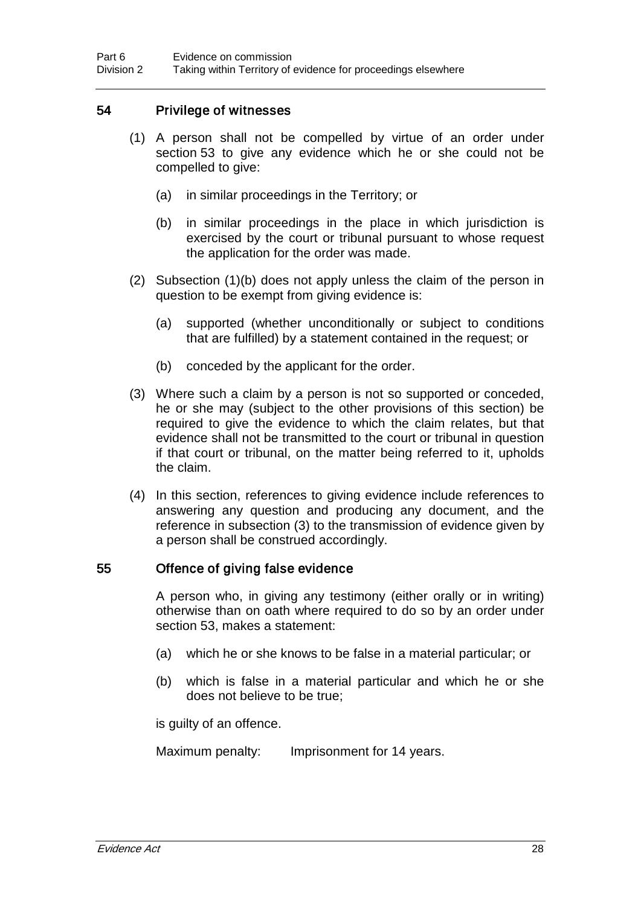### 54 Privilege of witnesses

- (1) A person shall not be compelled by virtue of an order under section 53 to give any evidence which he or she could not be compelled to give:
	- (a) in similar proceedings in the Territory; or
	- (b) in similar proceedings in the place in which jurisdiction is exercised by the court or tribunal pursuant to whose request the application for the order was made.
- (2) Subsection (1)(b) does not apply unless the claim of the person in question to be exempt from giving evidence is:
	- (a) supported (whether unconditionally or subject to conditions that are fulfilled) by a statement contained in the request; or
	- (b) conceded by the applicant for the order.
- (3) Where such a claim by a person is not so supported or conceded, he or she may (subject to the other provisions of this section) be required to give the evidence to which the claim relates, but that evidence shall not be transmitted to the court or tribunal in question if that court or tribunal, on the matter being referred to it, upholds the claim.
- (4) In this section, references to giving evidence include references to answering any question and producing any document, and the reference in subsection (3) to the transmission of evidence given by a person shall be construed accordingly.

#### 55 Offence of giving false evidence

A person who, in giving any testimony (either orally or in writing) otherwise than on oath where required to do so by an order under section 53, makes a statement:

- (a) which he or she knows to be false in a material particular; or
- (b) which is false in a material particular and which he or she does not believe to be true;

is guilty of an offence.

Maximum penalty: Imprisonment for 14 years.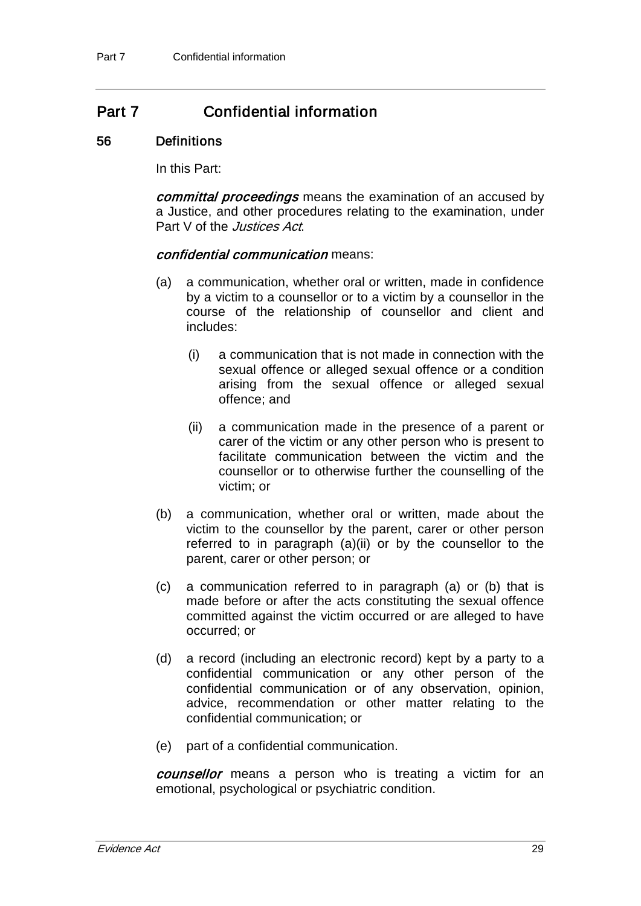# Part 7 Confidential information

#### 56 Definitions

In this Part:

committal proceedings means the examination of an accused by a Justice, and other procedures relating to the examination, under Part V of the *Justices Act*.

#### confidential communication means:

- (a) a communication, whether oral or written, made in confidence by a victim to a counsellor or to a victim by a counsellor in the course of the relationship of counsellor and client and includes:
	- (i) a communication that is not made in connection with the sexual offence or alleged sexual offence or a condition arising from the sexual offence or alleged sexual offence; and
	- (ii) a communication made in the presence of a parent or carer of the victim or any other person who is present to facilitate communication between the victim and the counsellor or to otherwise further the counselling of the victim; or
- (b) a communication, whether oral or written, made about the victim to the counsellor by the parent, carer or other person referred to in paragraph (a)(ii) or by the counsellor to the parent, carer or other person; or
- (c) a communication referred to in paragraph (a) or (b) that is made before or after the acts constituting the sexual offence committed against the victim occurred or are alleged to have occurred; or
- (d) a record (including an electronic record) kept by a party to a confidential communication or any other person of the confidential communication or of any observation, opinion, advice, recommendation or other matter relating to the confidential communication; or
- (e) part of a confidential communication.

counsellor means a person who is treating a victim for an emotional, psychological or psychiatric condition.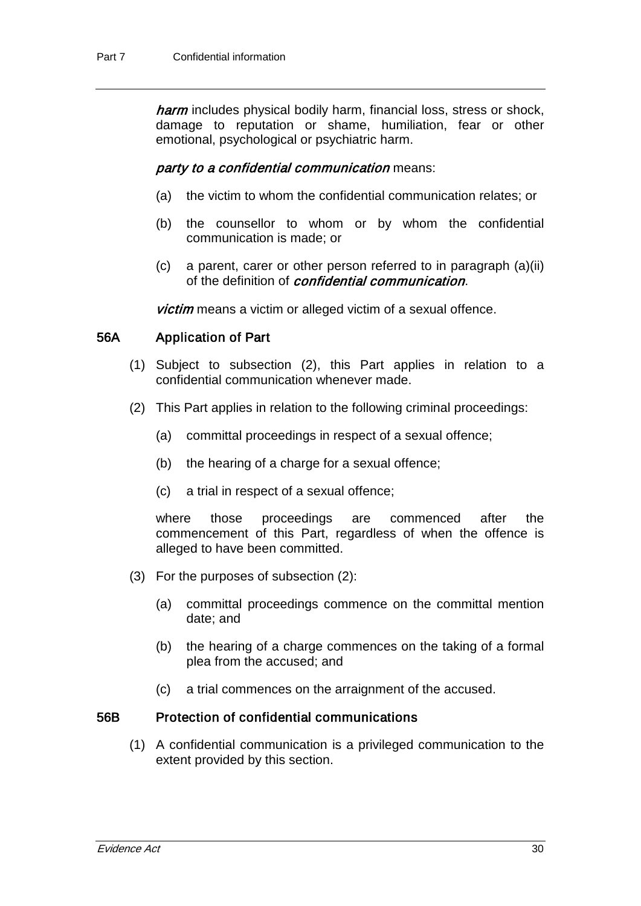harm includes physical bodily harm, financial loss, stress or shock, damage to reputation or shame, humiliation, fear or other emotional, psychological or psychiatric harm.

#### party to a confidential communication means:

- (a) the victim to whom the confidential communication relates; or
- (b) the counsellor to whom or by whom the confidential communication is made; or
- (c) a parent, carer or other person referred to in paragraph (a)(ii) of the definition of *confidential communication*.

**victim** means a victim or alleged victim of a sexual offence.

#### 56A Application of Part

- (1) Subject to subsection (2), this Part applies in relation to a confidential communication whenever made.
- (2) This Part applies in relation to the following criminal proceedings:
	- (a) committal proceedings in respect of a sexual offence;
	- (b) the hearing of a charge for a sexual offence;
	- (c) a trial in respect of a sexual offence;

where those proceedings are commenced after the commencement of this Part, regardless of when the offence is alleged to have been committed.

- (3) For the purposes of subsection (2):
	- (a) committal proceedings commence on the committal mention date; and
	- (b) the hearing of a charge commences on the taking of a formal plea from the accused; and
	- (c) a trial commences on the arraignment of the accused.

#### 56B Protection of confidential communications

(1) A confidential communication is a privileged communication to the extent provided by this section.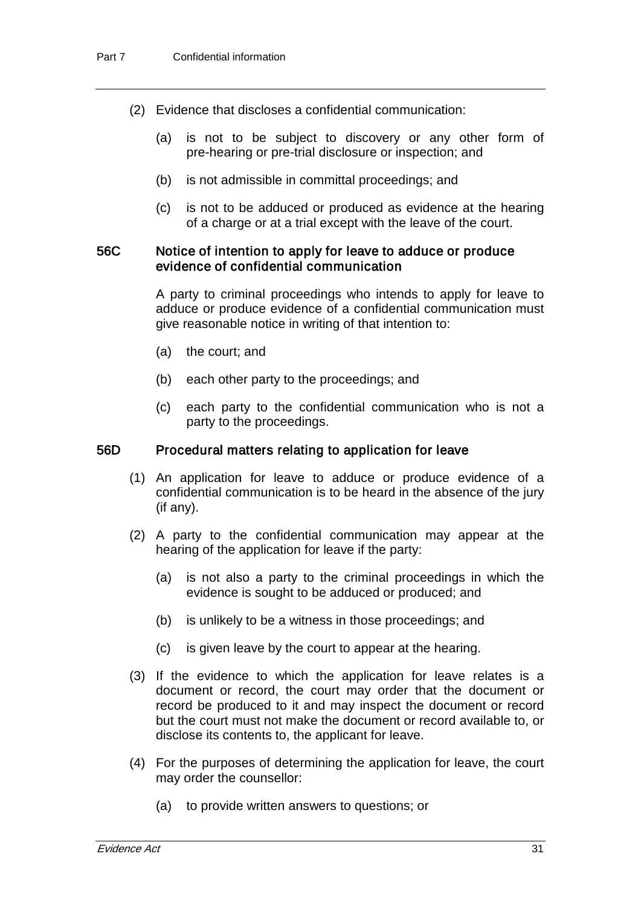- (2) Evidence that discloses a confidential communication:
	- (a) is not to be subject to discovery or any other form of pre-hearing or pre-trial disclosure or inspection; and
	- (b) is not admissible in committal proceedings; and
	- (c) is not to be adduced or produced as evidence at the hearing of a charge or at a trial except with the leave of the court.

#### 56C Notice of intention to apply for leave to adduce or produce evidence of confidential communication

A party to criminal proceedings who intends to apply for leave to adduce or produce evidence of a confidential communication must give reasonable notice in writing of that intention to:

- (a) the court; and
- (b) each other party to the proceedings; and
- (c) each party to the confidential communication who is not a party to the proceedings.

#### 56D Procedural matters relating to application for leave

- (1) An application for leave to adduce or produce evidence of a confidential communication is to be heard in the absence of the jury (if any).
- (2) A party to the confidential communication may appear at the hearing of the application for leave if the party:
	- (a) is not also a party to the criminal proceedings in which the evidence is sought to be adduced or produced; and
	- (b) is unlikely to be a witness in those proceedings; and
	- (c) is given leave by the court to appear at the hearing.
- (3) If the evidence to which the application for leave relates is a document or record, the court may order that the document or record be produced to it and may inspect the document or record but the court must not make the document or record available to, or disclose its contents to, the applicant for leave.
- (4) For the purposes of determining the application for leave, the court may order the counsellor:
	- (a) to provide written answers to questions; or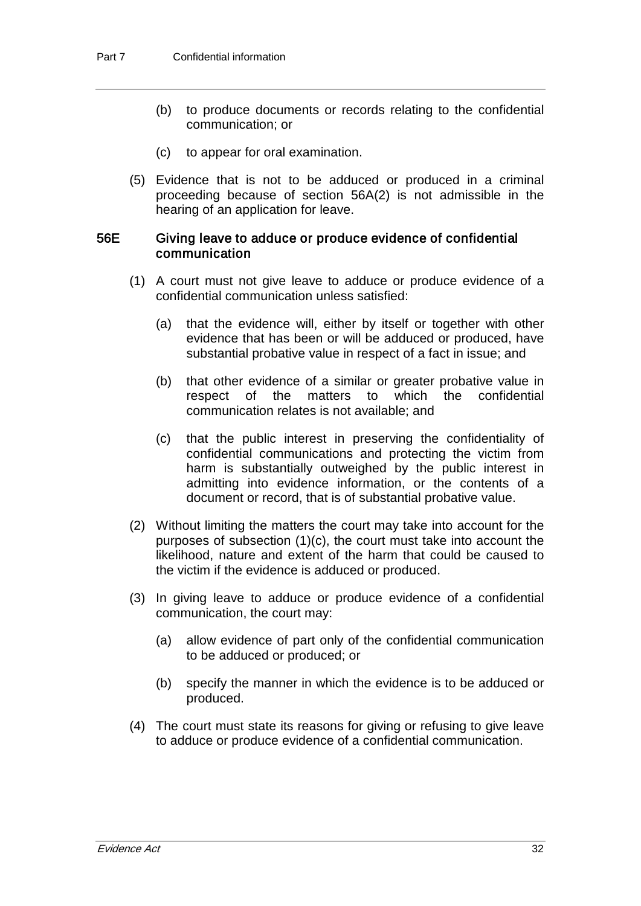- (b) to produce documents or records relating to the confidential communication; or
- (c) to appear for oral examination.
- (5) Evidence that is not to be adduced or produced in a criminal proceeding because of section 56A(2) is not admissible in the hearing of an application for leave.

#### 56E Giving leave to adduce or produce evidence of confidential communication

- (1) A court must not give leave to adduce or produce evidence of a confidential communication unless satisfied:
	- (a) that the evidence will, either by itself or together with other evidence that has been or will be adduced or produced, have substantial probative value in respect of a fact in issue; and
	- (b) that other evidence of a similar or greater probative value in respect of the matters to which the confidential communication relates is not available; and
	- (c) that the public interest in preserving the confidentiality of confidential communications and protecting the victim from harm is substantially outweighed by the public interest in admitting into evidence information, or the contents of a document or record, that is of substantial probative value.
- (2) Without limiting the matters the court may take into account for the purposes of subsection (1)(c), the court must take into account the likelihood, nature and extent of the harm that could be caused to the victim if the evidence is adduced or produced.
- (3) In giving leave to adduce or produce evidence of a confidential communication, the court may:
	- (a) allow evidence of part only of the confidential communication to be adduced or produced; or
	- (b) specify the manner in which the evidence is to be adduced or produced.
- (4) The court must state its reasons for giving or refusing to give leave to adduce or produce evidence of a confidential communication.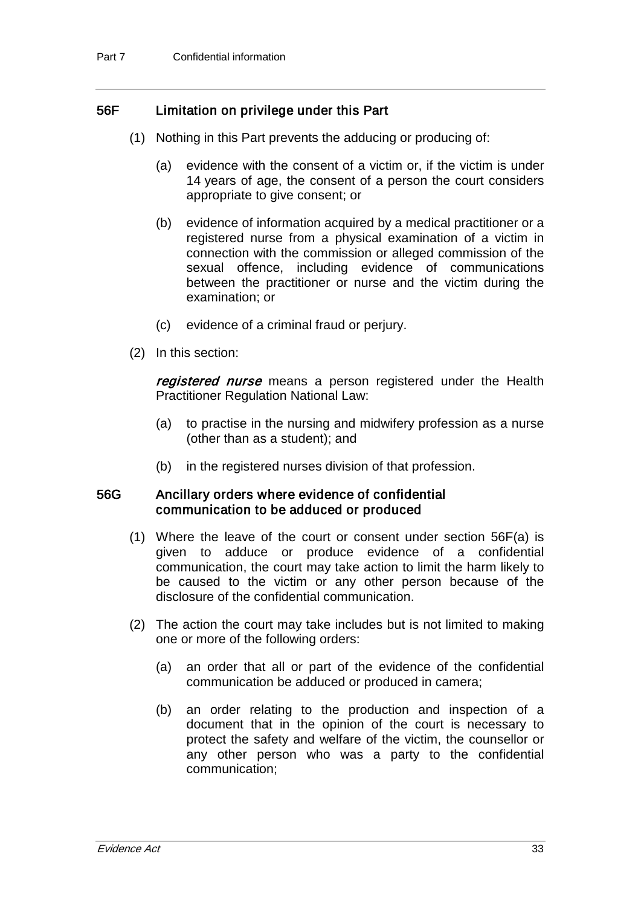## 56F Limitation on privilege under this Part

- (1) Nothing in this Part prevents the adducing or producing of:
	- (a) evidence with the consent of a victim or, if the victim is under 14 years of age, the consent of a person the court considers appropriate to give consent; or
	- (b) evidence of information acquired by a medical practitioner or a registered nurse from a physical examination of a victim in connection with the commission or alleged commission of the sexual offence, including evidence of communications between the practitioner or nurse and the victim during the examination; or
	- (c) evidence of a criminal fraud or perjury.
- (2) In this section:

registered nurse means a person registered under the Health Practitioner Regulation National Law:

- (a) to practise in the nursing and midwifery profession as a nurse (other than as a student); and
- (b) in the registered nurses division of that profession.

#### 56G Ancillary orders where evidence of confidential communication to be adduced or produced

- (1) Where the leave of the court or consent under section 56F(a) is given to adduce or produce evidence of a confidential communication, the court may take action to limit the harm likely to be caused to the victim or any other person because of the disclosure of the confidential communication.
- (2) The action the court may take includes but is not limited to making one or more of the following orders:
	- (a) an order that all or part of the evidence of the confidential communication be adduced or produced in camera;
	- (b) an order relating to the production and inspection of a document that in the opinion of the court is necessary to protect the safety and welfare of the victim, the counsellor or any other person who was a party to the confidential communication;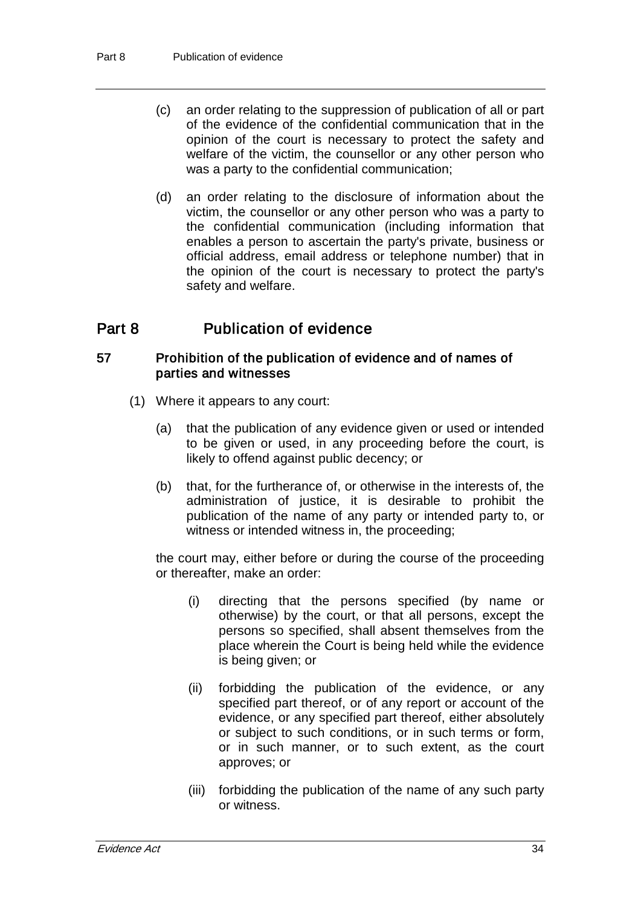- (c) an order relating to the suppression of publication of all or part of the evidence of the confidential communication that in the opinion of the court is necessary to protect the safety and welfare of the victim, the counsellor or any other person who was a party to the confidential communication;
- (d) an order relating to the disclosure of information about the victim, the counsellor or any other person who was a party to the confidential communication (including information that enables a person to ascertain the party's private, business or official address, email address or telephone number) that in the opinion of the court is necessary to protect the party's safety and welfare.

# Part 8 Publication of evidence

#### 57 Prohibition of the publication of evidence and of names of parties and witnesses

- (1) Where it appears to any court:
	- (a) that the publication of any evidence given or used or intended to be given or used, in any proceeding before the court, is likely to offend against public decency; or
	- (b) that, for the furtherance of, or otherwise in the interests of, the administration of justice, it is desirable to prohibit the publication of the name of any party or intended party to, or witness or intended witness in, the proceeding;

the court may, either before or during the course of the proceeding or thereafter, make an order:

- (i) directing that the persons specified (by name or otherwise) by the court, or that all persons, except the persons so specified, shall absent themselves from the place wherein the Court is being held while the evidence is being given; or
- (ii) forbidding the publication of the evidence, or any specified part thereof, or of any report or account of the evidence, or any specified part thereof, either absolutely or subject to such conditions, or in such terms or form, or in such manner, or to such extent, as the court approves; or
- (iii) forbidding the publication of the name of any such party or witness.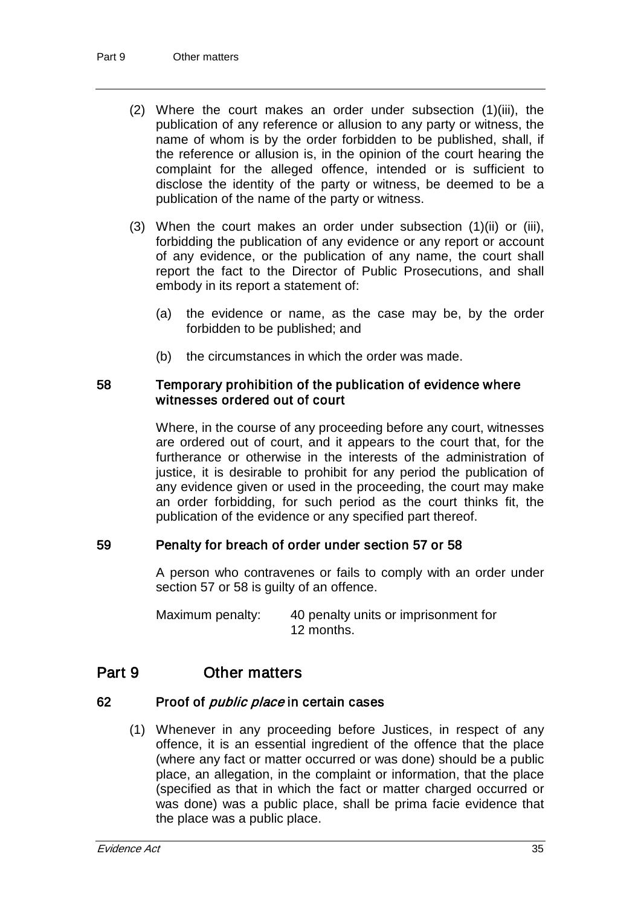- (2) Where the court makes an order under subsection (1)(iii), the publication of any reference or allusion to any party or witness, the name of whom is by the order forbidden to be published, shall, if the reference or allusion is, in the opinion of the court hearing the complaint for the alleged offence, intended or is sufficient to disclose the identity of the party or witness, be deemed to be a publication of the name of the party or witness.
- (3) When the court makes an order under subsection (1)(ii) or (iii), forbidding the publication of any evidence or any report or account of any evidence, or the publication of any name, the court shall report the fact to the Director of Public Prosecutions, and shall embody in its report a statement of:
	- (a) the evidence or name, as the case may be, by the order forbidden to be published; and
	- (b) the circumstances in which the order was made.

#### 58 Temporary prohibition of the publication of evidence where witnesses ordered out of court

Where, in the course of any proceeding before any court, witnesses are ordered out of court, and it appears to the court that, for the furtherance or otherwise in the interests of the administration of justice, it is desirable to prohibit for any period the publication of any evidence given or used in the proceeding, the court may make an order forbidding, for such period as the court thinks fit, the publication of the evidence or any specified part thereof.

## 59 Penalty for breach of order under section 57 or 58

A person who contravenes or fails to comply with an order under section 57 or 58 is guilty of an offence.

Maximum penalty: 40 penalty units or imprisonment for 12 months.

# Part 9 Other matters

#### 62 Proof of *public place* in certain cases

(1) Whenever in any proceeding before Justices, in respect of any offence, it is an essential ingredient of the offence that the place (where any fact or matter occurred or was done) should be a public place, an allegation, in the complaint or information, that the place (specified as that in which the fact or matter charged occurred or was done) was a public place, shall be prima facie evidence that the place was a public place.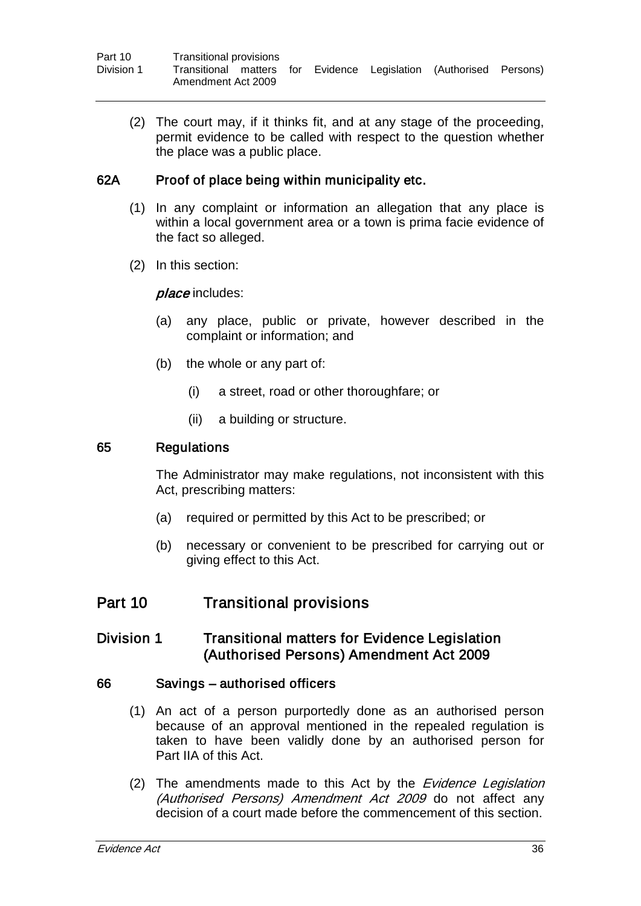| Part 10    | Transitional provisions |  |  |                                                                    |  |
|------------|-------------------------|--|--|--------------------------------------------------------------------|--|
| Division 1 | Amendment Act 2009      |  |  | Transitional matters for Evidence Legislation (Authorised Persons) |  |

(2) The court may, if it thinks fit, and at any stage of the proceeding, permit evidence to be called with respect to the question whether the place was a public place.

## 62A Proof of place being within municipality etc.

- (1) In any complaint or information an allegation that any place is within a local government area or a town is prima facie evidence of the fact so alleged.
- (2) In this section:

## place includes:

- (a) any place, public or private, however described in the complaint or information; and
- (b) the whole or any part of:
	- (i) a street, road or other thoroughfare; or
	- (ii) a building or structure.

## 65 Regulations

The Administrator may make regulations, not inconsistent with this Act, prescribing matters:

- (a) required or permitted by this Act to be prescribed; or
- (b) necessary or convenient to be prescribed for carrying out or giving effect to this Act.

# Part 10 Transitional provisions

# Division 1 Transitional matters for Evidence Legislation (Authorised Persons) Amendment Act 2009

#### 66 Savings – authorised officers

- (1) An act of a person purportedly done as an authorised person because of an approval mentioned in the repealed regulation is taken to have been validly done by an authorised person for Part IIA of this Act.
- (2) The amendments made to this Act by the *Evidence Legislation* (Authorised Persons) Amendment Act 2009 do not affect any decision of a court made before the commencement of this section.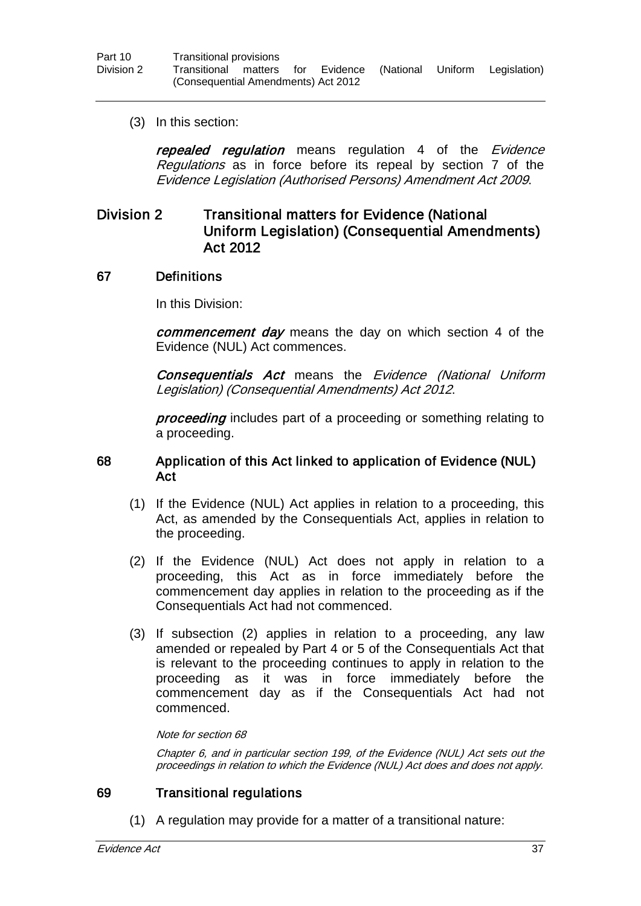(3) In this section:

repealed regulation means regulation 4 of the Evidence Regulations as in force before its repeal by section 7 of the Evidence Legislation (Authorised Persons) Amendment Act 2009.

# Division 2 Transitional matters for Evidence (National Uniform Legislation) (Consequential Amendments) Act 2012

## 67 Definitions

In this Division:

commencement day means the day on which section 4 of the Evidence (NUL) Act commences.

Consequentials Act means the Evidence (National Uniform Legislation) (Consequential Amendments) Act 2012.

**proceeding** includes part of a proceeding or something relating to a proceeding.

#### 68 Application of this Act linked to application of Evidence (NUL) Act

- (1) If the Evidence (NUL) Act applies in relation to a proceeding, this Act, as amended by the Consequentials Act, applies in relation to the proceeding.
- (2) If the Evidence (NUL) Act does not apply in relation to a proceeding, this Act as in force immediately before the commencement day applies in relation to the proceeding as if the Consequentials Act had not commenced.
- (3) If subsection (2) applies in relation to a proceeding, any law amended or repealed by Part 4 or 5 of the Consequentials Act that is relevant to the proceeding continues to apply in relation to the proceeding as it was in force immediately before the commencement day as if the Consequentials Act had not commenced.

#### Note for section 68

Chapter 6, and in particular section 199, of the Evidence (NUL) Act sets out the proceedings in relation to which the Evidence (NUL) Act does and does not apply.

## 69 Transitional regulations

(1) A regulation may provide for a matter of a transitional nature: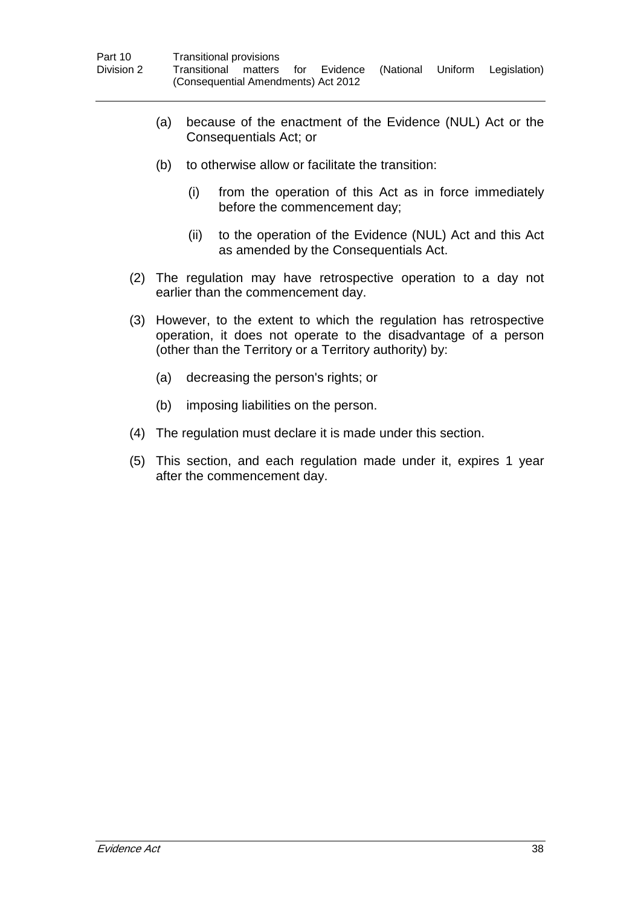- (a) because of the enactment of the Evidence (NUL) Act or the Consequentials Act; or
- (b) to otherwise allow or facilitate the transition:
	- (i) from the operation of this Act as in force immediately before the commencement day;
	- (ii) to the operation of the Evidence (NUL) Act and this Act as amended by the Consequentials Act.
- (2) The regulation may have retrospective operation to a day not earlier than the commencement day.
- (3) However, to the extent to which the regulation has retrospective operation, it does not operate to the disadvantage of a person (other than the Territory or a Territory authority) by:
	- (a) decreasing the person's rights; or
	- (b) imposing liabilities on the person.
- (4) The regulation must declare it is made under this section.
- (5) This section, and each regulation made under it, expires 1 year after the commencement day.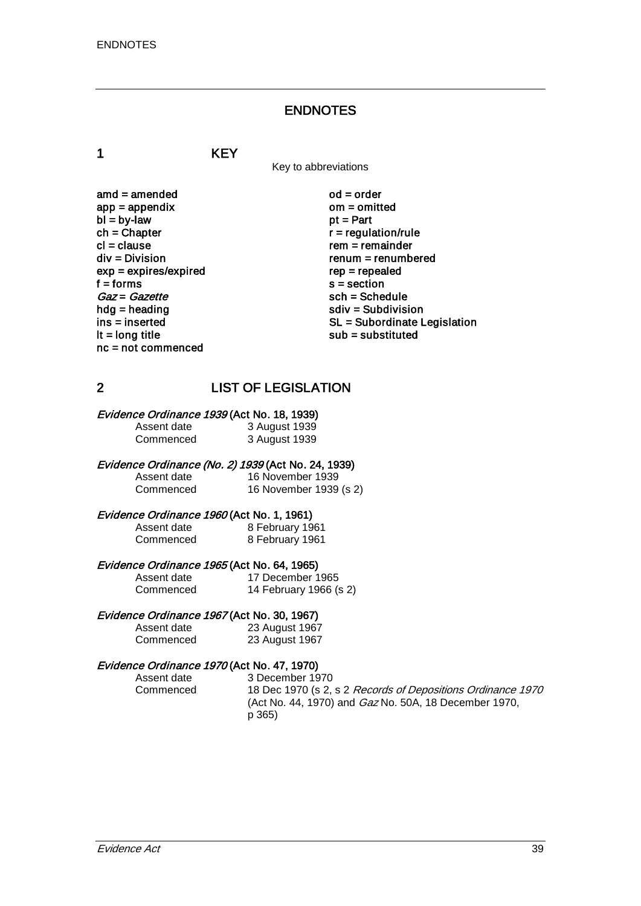## ENDNOTES

## 1 KEY

Key to abbreviations

 $\mathsf{and} = \mathsf{amended}$   $\mathsf{ood} = \mathsf{order}$ <br> $\mathsf{app} = \mathsf{appendix}$   $\mathsf{om} = \mathsf{omitted}$  $app = appendix$  om = om<br>  $bl = by-law$  by the py-law  $bl = by-law$ <br>ch = Chapter  $ch = Chapter$ <br>  $cl = clause$ <br>  $cl = clause$ cl = clause rem = remainder<br>div = Division renum = renumb  $exp = expires/expired$ <br>f = forms  $Gaz = Gazette$ <br>hdg = heading hdg = heading sdiv = Subdivision<br>ins = inserted state solution<br>SL = Subordinate L nc = not commenced

 $renum = renumbered$ <br> $rep = repeated$  $s = section$ <br> $sch = Schedule$ ins = inserted SL = Subordinate Legislation<br>
It = long title substituted sub = substituted  $sub =$  substituted

# 2 LIST OF LEGISLATION

#### Evidence Ordinance 1939 (Act No. 18, 1939)

| Assent date | 3 August 1939 |
|-------------|---------------|
| Commenced   | 3 August 1939 |

# Evidence Ordinance (No. 2) 1939 (Act No. 24, 1939)

Assent date 16 November 1939<br>Commenced 16 November 1939 16 November 1939 (s 2)

# **Evidence Ordinance 1960 (Act No. 1, 1961)**<br>Assent date 8 February 19

#### Assent date 8 February 1961<br>Commenced 8 February 1961 8 February 1961

14 February 1966 (s 2)

# **Evidence Ordinance 1965 (Act No. 64, 1965)**<br>Assent date 17 December 1

Assent date 17 December 1965<br>Commenced 14 February 1966 (s

#### Evidence Ordinance 1967 (Act No. 30, 1967)

Assent date 23 August 1967<br>Commenced 23 August 1967 23 August 1967

# Evidence Ordinance 1970 (Act No. 47, 1970)<br>Assent date 3 December 19

Assent date 3 December 1970<br>Commenced 18 Dec 1970 (s 2. 18 Dec 1970 (s 2, s 2 Records of Depositions Ordinance 1970 (Act No. 44, 1970) and *Gaz* No. 50A, 18 December 1970, p 365)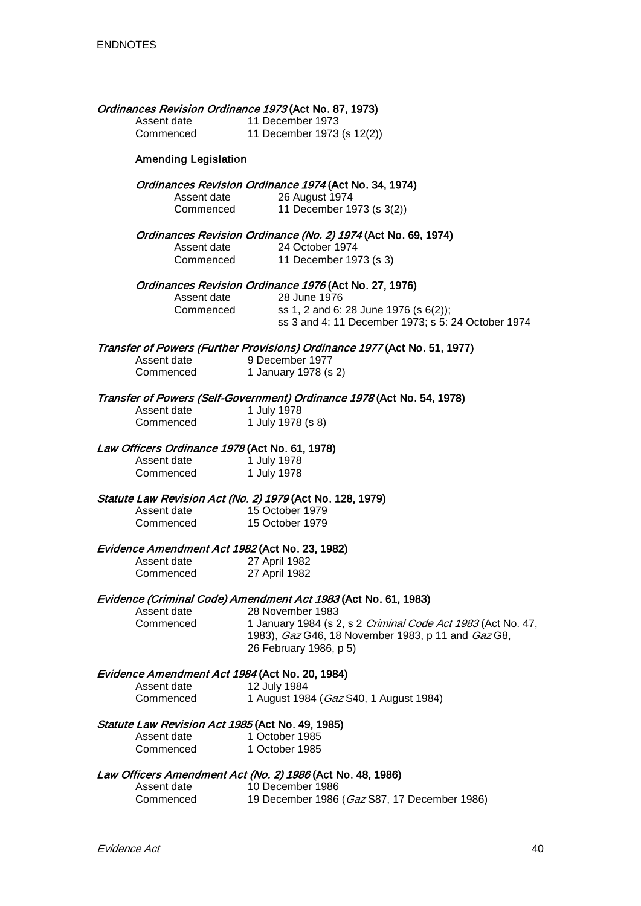| Ordinances Revision Ordinance 1973 (Act No. 87, 1973)     |                                                                                       |
|-----------------------------------------------------------|---------------------------------------------------------------------------------------|
| Assent date                                               | 11 December 1973                                                                      |
| Commenced                                                 | 11 December 1973 (s 12(2))                                                            |
| <b>Amending Legislation</b>                               |                                                                                       |
|                                                           | Ordinances Revision Ordinance 1974 (Act No. 34, 1974)                                 |
| Assent date                                               | 26 August 1974                                                                        |
| Commenced                                                 | 11 December 1973 (s 3(2))                                                             |
|                                                           | Ordinances Revision Ordinance (No. 2) 1974 (Act No. 69, 1974)                         |
| Assent date                                               | 24 October 1974                                                                       |
| Commenced                                                 | 11 December 1973 (s 3)                                                                |
|                                                           | Ordinances Revision Ordinance 1976 (Act No. 27, 1976)                                 |
| Assent date                                               | 28 June 1976                                                                          |
| Commenced                                                 | ss 1, 2 and 6: 28 June 1976 (s 6(2));                                                 |
|                                                           | ss 3 and 4: 11 December 1973; s 5: 24 October 1974                                    |
|                                                           | Transfer of Powers (Further Provisions) Ordinance 1977 (Act No. 51, 1977)             |
| Assent date                                               | 9 December 1977                                                                       |
| Commenced                                                 | 1 January 1978 (s 2)                                                                  |
| Assent date                                               | Transfer of Powers (Self-Government) Ordinance 1978 (Act No. 54, 1978)<br>1 July 1978 |
| Commenced                                                 | 1 July 1978 (s 8)                                                                     |
|                                                           |                                                                                       |
| Law Officers Ordinance 1978 (Act No. 61, 1978)            |                                                                                       |
| Assent date                                               | 1 July 1978                                                                           |
| Commenced                                                 | 1 July 1978                                                                           |
| Statute Law Revision Act (No. 2) 1979 (Act No. 128, 1979) |                                                                                       |
| Assent date                                               | 15 October 1979                                                                       |
| Commenced                                                 | 15 October 1979                                                                       |
| Evidence Amendment Act 1982 (Act No. 23, 1982)            |                                                                                       |
| Assent date                                               | 27 April 1982                                                                         |
| Commenced                                                 | 27 April 1982                                                                         |
|                                                           | Evidence (Criminal Code) Amendment Act 1983 (Act No. 61, 1983)                        |
| Assent date                                               | 28 November 1983                                                                      |
| Commenced                                                 | 1 January 1984 (s 2, s 2 Criminal Code Act 1983 (Act No. 47,                          |
|                                                           | 1983), Gaz G46, 18 November 1983, p 11 and Gaz G8,                                    |
|                                                           | 26 February 1986, p 5)                                                                |
| Evidence Amendment Act 1984 (Act No. 20, 1984)            |                                                                                       |
| Assent date                                               | 12 July 1984                                                                          |
| Commenced                                                 | 1 August 1984 (Gaz S40, 1 August 1984)                                                |
| Statute Law Revision Act 1985 (Act No. 49, 1985)          |                                                                                       |
| Assent date                                               | 1 October 1985                                                                        |
| Commenced                                                 | 1 October 1985                                                                        |
|                                                           | Law Officers Amendment Act (No. 2) 1986 (Act No. 48, 1986)                            |
| Assent date                                               | 10 December 1986                                                                      |
| Commenced                                                 | 19 December 1986 (Gaz S87, 17 December 1986)                                          |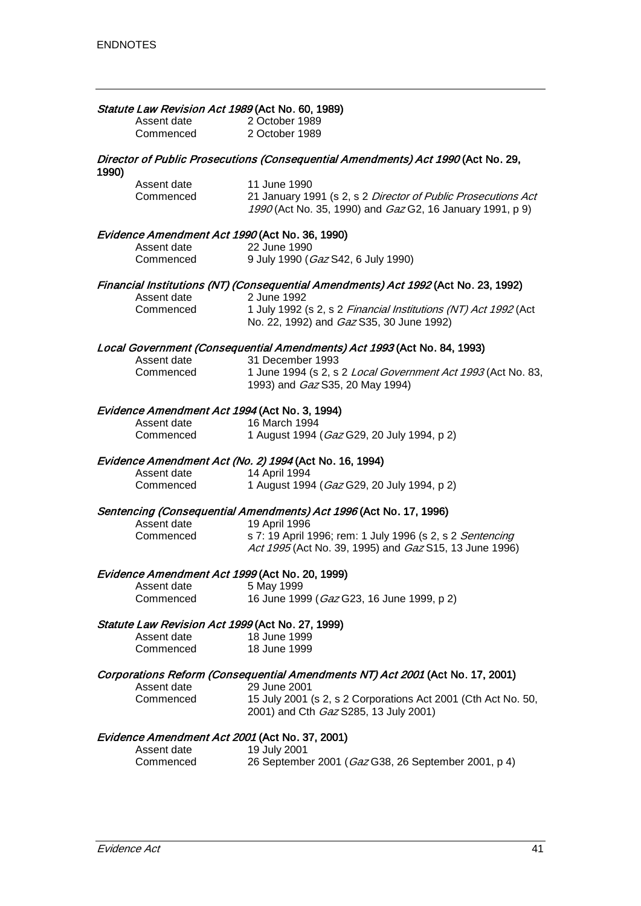|       | Statute Law Revision Act 1989 (Act No. 60, 1989)             |                                                                                                                            |
|-------|--------------------------------------------------------------|----------------------------------------------------------------------------------------------------------------------------|
|       | Assent date                                                  | 2 October 1989                                                                                                             |
|       | Commenced                                                    | 2 October 1989                                                                                                             |
| 1990) |                                                              | Director of Public Prosecutions (Consequential Amendments) Act 1990 (Act No. 29,                                           |
|       | Assent date                                                  | 11 June 1990                                                                                                               |
|       | Commenced                                                    | 21 January 1991 (s 2, s 2 Director of Public Prosecutions Act<br>1990 (Act No. 35, 1990) and Gaz G2, 16 January 1991, p 9) |
|       | Evidence Amendment Act 1990 (Act No. 36, 1990)               |                                                                                                                            |
|       | Assent date                                                  | 22 June 1990                                                                                                               |
|       | Commenced                                                    | 9 July 1990 (Gaz S42, 6 July 1990)                                                                                         |
|       | Assent date                                                  | Financial Institutions (NT) (Consequential Amendments) Act 1992 (Act No. 23, 1992)<br>2 June 1992                          |
|       | Commenced                                                    | 1 July 1992 (s 2, s 2 Financial Institutions (NT) Act 1992 (Act<br>No. 22, 1992) and <i>Gaz</i> S35, 30 June 1992)         |
|       |                                                              | Local Government (Consequential Amendments) Act 1993 (Act No. 84, 1993)                                                    |
|       | Assent date                                                  | 31 December 1993                                                                                                           |
|       | Commenced                                                    | 1 June 1994 (s 2, s 2 Local Government Act 1993 (Act No. 83,                                                               |
|       |                                                              | 1993) and Gaz S35, 20 May 1994)                                                                                            |
|       | Evidence Amendment Act 1994 (Act No. 3, 1994)<br>Assent date | 16 March 1994                                                                                                              |
|       | Commenced                                                    | 1 August 1994 (Gaz G29, 20 July 1994, p 2)                                                                                 |
|       |                                                              |                                                                                                                            |
|       |                                                              | Evidence Amendment Act (No. 2) 1994 (Act No. 16, 1994)                                                                     |
|       | Assent date                                                  | 14 April 1994                                                                                                              |
|       | Commenced                                                    | 1 August 1994 (Gaz G29, 20 July 1994, p 2)                                                                                 |
|       |                                                              | Sentencing (Consequential Amendments) Act 1996 (Act No. 17, 1996)                                                          |
|       | Assent date                                                  | 19 April 1996                                                                                                              |
|       | Commenced                                                    | s 7: 19 April 1996; rem: 1 July 1996 (s 2, s 2 Sentencing<br>Act 1995 (Act No. 39, 1995) and Gaz S15, 13 June 1996)        |
|       | Evidence Amendment Act 1999 (Act No. 20, 1999)               |                                                                                                                            |
|       | Assent date 5 May 1999                                       |                                                                                                                            |
|       | Commenced                                                    | 16 June 1999 (Gaz G23, 16 June 1999, p 2)                                                                                  |
|       | Statute Law Revision Act 1999 (Act No. 27, 1999)             |                                                                                                                            |
|       | Assent date                                                  | 18 June 1999                                                                                                               |
|       | Commenced                                                    | 18 June 1999                                                                                                               |
|       | Assent date                                                  | Corporations Reform (Consequential Amendments NT) Act 2001 (Act No. 17, 2001)<br>29 June 2001                              |
|       | Commenced                                                    | 15 July 2001 (s 2, s 2 Corporations Act 2001 (Cth Act No. 50,                                                              |
|       |                                                              | 2001) and Cth Gaz S285, 13 July 2001)                                                                                      |
|       | Evidence Amendment Act 2001 (Act No. 37, 2001)               |                                                                                                                            |
|       | Assent date                                                  | 19 July 2001                                                                                                               |
|       | Commenced                                                    | 26 September 2001 (Gaz G38, 26 September 2001, p 4)                                                                        |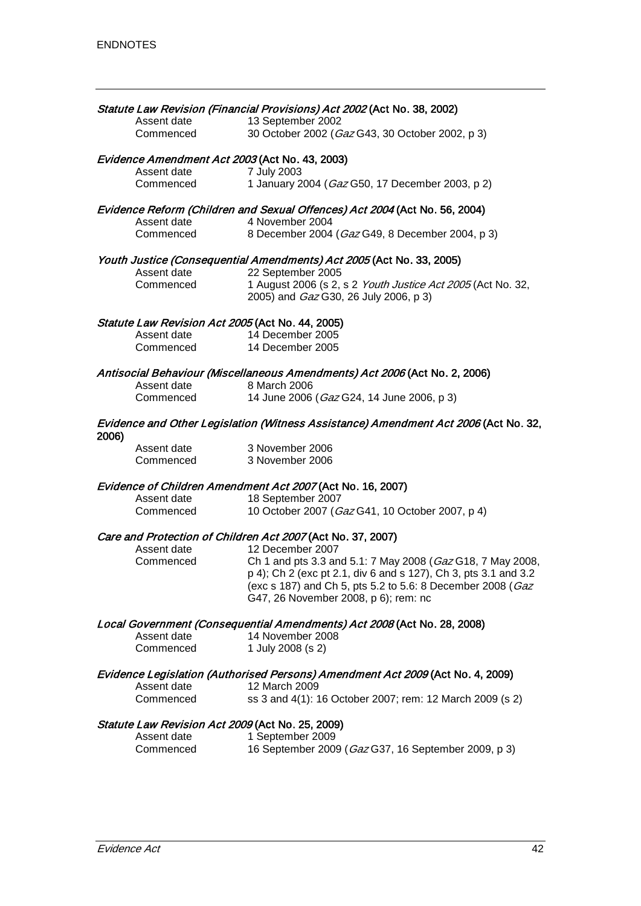|                                                                                                                | Assent date                                                     | Statute Law Revision (Financial Provisions) Act 2002 (Act No. 38, 2002)<br>13 September 2002                |
|----------------------------------------------------------------------------------------------------------------|-----------------------------------------------------------------|-------------------------------------------------------------------------------------------------------------|
|                                                                                                                | Commenced                                                       | 30 October 2002 (Gaz G43, 30 October 2002, p 3)                                                             |
|                                                                                                                | Evidence Amendment Act 2003 (Act No. 43, 2003)                  |                                                                                                             |
|                                                                                                                | Assent date                                                     | 7 July 2003                                                                                                 |
|                                                                                                                | Commenced                                                       | 1 January 2004 (Gaz G50, 17 December 2003, p 2)                                                             |
|                                                                                                                | Assent date                                                     | Evidence Reform (Children and Sexual Offences) Act 2004 (Act No. 56, 2004)<br>4 November 2004               |
|                                                                                                                | Commenced                                                       | 8 December 2004 (Gaz G49, 8 December 2004, p 3)                                                             |
|                                                                                                                |                                                                 | Youth Justice (Consequential Amendments) Act 2005 (Act No. 33, 2005)                                        |
|                                                                                                                | Assent date                                                     | 22 September 2005                                                                                           |
|                                                                                                                | Commenced                                                       | 1 August 2006 (s 2, s 2 Youth Justice Act 2005 (Act No. 32,<br>2005) and <i>Gaz</i> G30, 26 July 2006, p 3) |
|                                                                                                                | Statute Law Revision Act 2005 (Act No. 44, 2005)                |                                                                                                             |
|                                                                                                                | Assent date                                                     | 14 December 2005                                                                                            |
|                                                                                                                | Commenced                                                       | 14 December 2005                                                                                            |
|                                                                                                                | Assent date                                                     | Antisocial Behaviour (Miscellaneous Amendments) Act 2006 (Act No. 2, 2006)<br>8 March 2006                  |
|                                                                                                                | Commenced                                                       | 14 June 2006 (Gaz G24, 14 June 2006, p 3)                                                                   |
| 2006)                                                                                                          |                                                                 | Evidence and Other Legislation (Witness Assistance) Amendment Act 2006 (Act No. 32,                         |
|                                                                                                                | Assent date                                                     | 3 November 2006                                                                                             |
|                                                                                                                | Commenced                                                       | 3 November 2006                                                                                             |
|                                                                                                                |                                                                 | Evidence of Children Amendment Act 2007 (Act No. 16, 2007)                                                  |
|                                                                                                                | Assent date                                                     | 18 September 2007                                                                                           |
|                                                                                                                | Commenced                                                       | 10 October 2007 (Gaz G41, 10 October 2007, p 4)                                                             |
|                                                                                                                | Assent date                                                     | Care and Protection of Children Act 2007 (Act No. 37, 2007)<br>12 December 2007                             |
|                                                                                                                | Commenced                                                       | Ch 1 and pts 3.3 and 5.1: 7 May 2008 (Gaz G18, 7 May 2008,                                                  |
|                                                                                                                |                                                                 | p 4); Ch 2 (exc pt 2.1, div 6 and s 127), Ch 3, pts 3.1 and 3.2                                             |
|                                                                                                                |                                                                 | (exc s 187) and Ch 5, pts 5.2 to 5.6: 8 December 2008 (Gaz                                                  |
|                                                                                                                |                                                                 | G47, 26 November 2008, p 6); rem: nc                                                                        |
|                                                                                                                |                                                                 | Local Government (Consequential Amendments) Act 2008 (Act No. 28, 2008)                                     |
|                                                                                                                | Assent date                                                     | 14 November 2008                                                                                            |
|                                                                                                                | Commenced                                                       | 1 July 2008 (s 2)                                                                                           |
| Evidence Legislation (Authorised Persons) Amendment Act 2009 (Act No. 4, 2009)<br>Assent date<br>12 March 2009 |                                                                 |                                                                                                             |
|                                                                                                                | Commenced                                                       | ss 3 and 4(1): 16 October 2007; rem: 12 March 2009 (s 2)                                                    |
|                                                                                                                |                                                                 |                                                                                                             |
|                                                                                                                | Statute Law Revision Act 2009 (Act No. 25, 2009)<br>Assent date | 1 September 2009                                                                                            |
|                                                                                                                | Commenced                                                       | 16 September 2009 (Gaz G37, 16 September 2009, p 3)                                                         |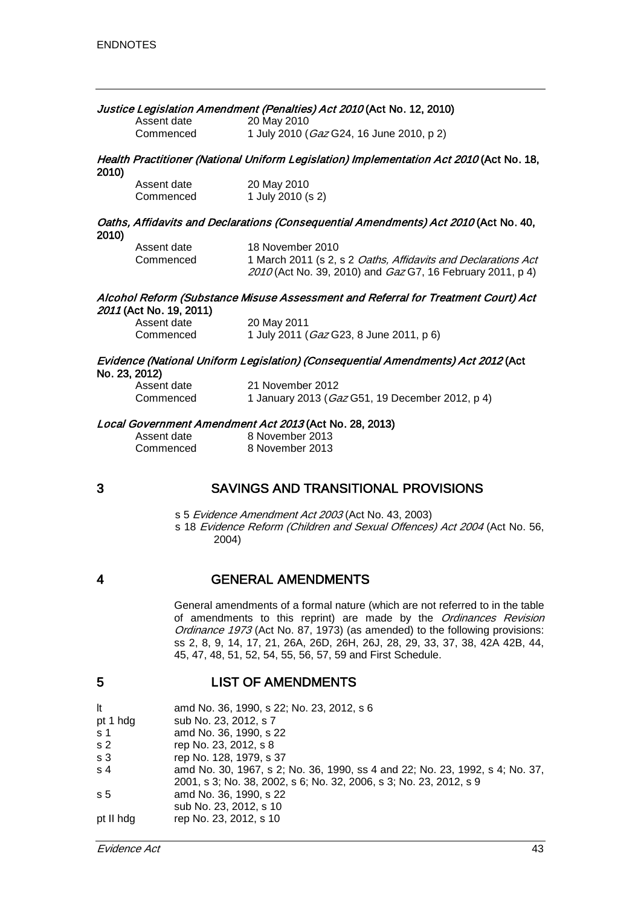| Justice Legislation Amendment (Penalties) Act 2010 (Act No. 12, 2010)<br>Assent date<br>20 May 2010 |                          |                                                                                                                                                     |
|-----------------------------------------------------------------------------------------------------|--------------------------|-----------------------------------------------------------------------------------------------------------------------------------------------------|
|                                                                                                     | Commenced                | 1 July 2010 (Gaz G24, 16 June 2010, p 2)                                                                                                            |
| 2010)                                                                                               |                          | Health Practitioner (National Uniform Legislation) Implementation Act 2010 (Act No. 18,                                                             |
|                                                                                                     | Assent date<br>Commenced | 20 May 2010<br>1 July 2010 (s 2)                                                                                                                    |
| 2010)                                                                                               |                          | Oaths, Affidavits and Declarations (Consequential Amendments) Act 2010 (Act No. 40,                                                                 |
|                                                                                                     | Assent date<br>Commenced | 18 November 2010<br>1 March 2011 (s 2, s 2 Oaths, Affidavits and Declarations Act<br>2010 (Act No. 39, 2010) and Gaz G7, 16 February 2011, p 4)     |
|                                                                                                     | 2011 (Act No. 19, 2011)  | Alcohol Reform (Substance Misuse Assessment and Referral for Treatment Court) Act                                                                   |
|                                                                                                     | Assent date<br>Commenced | 20 May 2011<br>1 July 2011 (Gaz G23, 8 June 2011, p 6)                                                                                              |
| No. 23, 2012)                                                                                       |                          | Evidence (National Uniform Legislation) (Consequential Amendments) Act 2012 (Act                                                                    |
|                                                                                                     | Assent date<br>Commenced | 21 November 2012<br>1 January 2013 (Gaz G51, 19 December 2012, p 4)                                                                                 |
| Local Government Amendment Act 2013 (Act No. 28, 2013)                                              |                          |                                                                                                                                                     |
|                                                                                                     | Assent date<br>Commenced | 8 November 2013<br>8 November 2013                                                                                                                  |
| 3                                                                                                   |                          | SAVINGS AND TRANSITIONAL PROVISIONS                                                                                                                 |
|                                                                                                     | 2004)                    | s 5 Evidence Amendment Act 2003 (Act No. 43, 2003)<br>s 18 Evidence Reform (Children and Sexual Offences) Act 2004 (Act No. 56,                     |
| 4                                                                                                   |                          | <b>GENERAL AMENDMENTS</b>                                                                                                                           |
|                                                                                                     |                          | General amendments of a formal nature (which are not referred to in the table<br>of amendments to this reprint) are made by the Ordinances Revision |

Ordinance 1973 (Act No. 87, 1973) (as amended) to the following provisions: ss 2, 8, 9, 14, 17, 21, 26A, 26D, 26H, 26J, 28, 29, 33, 37, 38, 42A 42B, 44, 45, 47, 48, 51, 52, 54, 55, 56, 57, 59 and First Schedule.

# 5 LIST OF AMENDMENTS

| It             | amd No. 36, 1990, s 22; No. 23, 2012, s 6                                    |
|----------------|------------------------------------------------------------------------------|
| pt 1 hdg       | sub No. 23, 2012, s 7                                                        |
| s 1            | amd No. 36, 1990, s 22                                                       |
| s <sub>2</sub> | rep No. 23, 2012, s 8                                                        |
| s <sub>3</sub> | rep No. 128, 1979, s 37                                                      |
| s <sub>4</sub> | amd No. 30, 1967, s 2; No. 36, 1990, ss 4 and 22; No. 23, 1992, s 4; No. 37, |
|                | 2001, s 3; No. 38, 2002, s 6; No. 32, 2006, s 3; No. 23, 2012, s 9           |
| s <sub>5</sub> | amd No. 36, 1990, s 22                                                       |
|                | sub No. 23, 2012, s 10                                                       |
| pt II hda      | rep No. 23, 2012, s 10                                                       |
|                |                                                                              |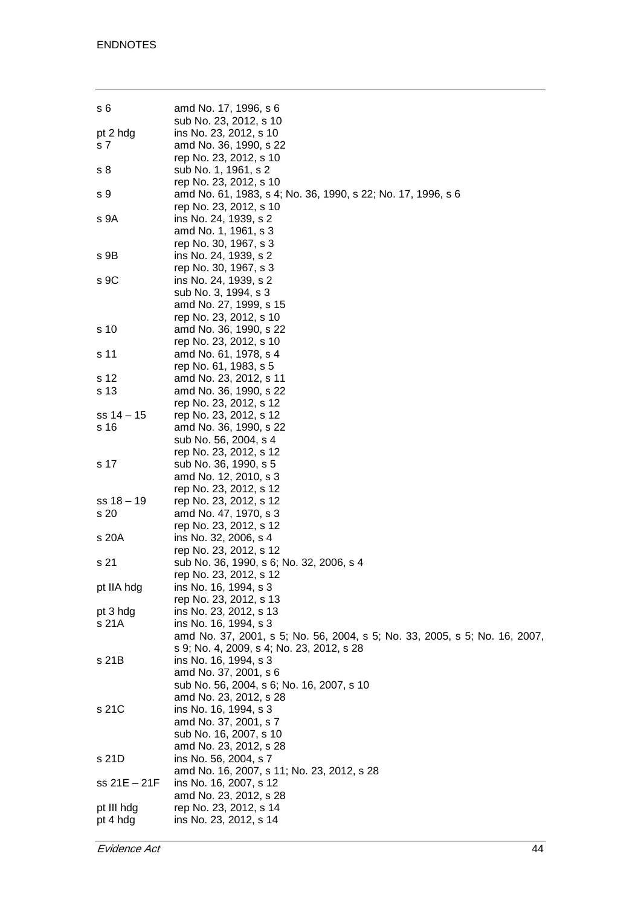| sб           | amd No. 17, 1996, s 6                                                                  |
|--------------|----------------------------------------------------------------------------------------|
|              | sub No. 23, 2012, s 10                                                                 |
| pt 2 hdg     | ins No. 23, 2012, s 10                                                                 |
| s 7          | amd No. 36, 1990, s 22                                                                 |
|              | rep No. 23, 2012, s 10                                                                 |
| s 8          | sub No. 1, 1961, s 2                                                                   |
|              | rep No. 23, 2012, s 10                                                                 |
| s 9          | amd No. 61, 1983, s 4; No. 36, 1990, s 22; No. 17, 1996, s 6<br>rep No. 23, 2012, s 10 |
| s 9A         | ins No. 24, 1939, s 2                                                                  |
|              | amd No. 1, 1961, s 3                                                                   |
|              | rep No. 30, 1967, s 3                                                                  |
| s 9B         | ins No. 24, 1939, s 2                                                                  |
|              | rep No. 30, 1967, s 3                                                                  |
| s 9C         | ins No. 24, 1939, s 2                                                                  |
|              | sub No. 3, 1994, s 3                                                                   |
|              | amd No. 27, 1999, s 15                                                                 |
|              | rep No. 23, 2012, s 10                                                                 |
| s 10         | amd No. 36, 1990, s 22<br>rep No. 23, 2012, s 10                                       |
| s 11         | amd No. 61, 1978, s 4                                                                  |
|              | rep No. 61, 1983, s 5                                                                  |
| s 12         | amd No. 23, 2012, s 11                                                                 |
| s 13         | amd No. 36, 1990, s 22                                                                 |
|              | rep No. 23, 2012, s 12                                                                 |
| $ss 14 - 15$ | rep No. 23, 2012, s 12                                                                 |
| s 16         | amd No. 36, 1990, s 22                                                                 |
|              | sub No. 56, 2004, s 4                                                                  |
|              | rep No. 23, 2012, s 12                                                                 |
| s 17         | sub No. 36, 1990, s 5                                                                  |
|              | amd No. 12, 2010, s 3<br>rep No. 23, 2012, s 12                                        |
| $ss 18 - 19$ | rep No. 23, 2012, s 12                                                                 |
| s 20         | amd No. 47, 1970, s 3                                                                  |
|              | rep No. 23, 2012, s 12                                                                 |
| s 20A        | ins No. 32, 2006, s 4                                                                  |
|              | rep No. 23, 2012, s 12                                                                 |
| s 21         | sub No. 36, 1990, s 6; No. 32, 2006, s 4                                               |
|              | rep No. 23, 2012, s 12                                                                 |
| pt IIA hdg   | ins No. 16, 1994, s 3                                                                  |
| pt 3 hdg     | rep No. 23, 2012, s 13<br>ins No. 23, 2012, s 13                                       |
| s 21A        | ins No. 16, 1994, s 3                                                                  |
|              | amd No. 37, 2001, s 5; No. 56, 2004, s 5; No. 33, 2005, s 5; No. 16, 2007,             |
|              | s 9; No. 4, 2009, s 4; No. 23, 2012, s 28                                              |
| s 21B        | ins No. 16, 1994, s 3                                                                  |
|              | amd No. 37, 2001, s 6                                                                  |
|              | sub No. 56, 2004, s 6; No. 16, 2007, s 10                                              |
|              | amd No. 23, 2012, s 28                                                                 |
| s 21C        | ins No. 16, 1994, s 3                                                                  |
|              | amd No. 37, 2001, s 7                                                                  |
|              | sub No. 16, 2007, s 10<br>amd No. 23, 2012, s 28                                       |
| s 21D        | ins No. 56, 2004, s 7                                                                  |
|              | amd No. 16, 2007, s 11; No. 23, 2012, s 28                                             |
| ss 21E – 21F | ins No. 16, 2007, s 12                                                                 |
|              | amd No. 23, 2012, s 28                                                                 |
| pt III hdg   | rep No. 23, 2012, s 14                                                                 |
| pt 4 hdg     | ins No. 23, 2012, s 14                                                                 |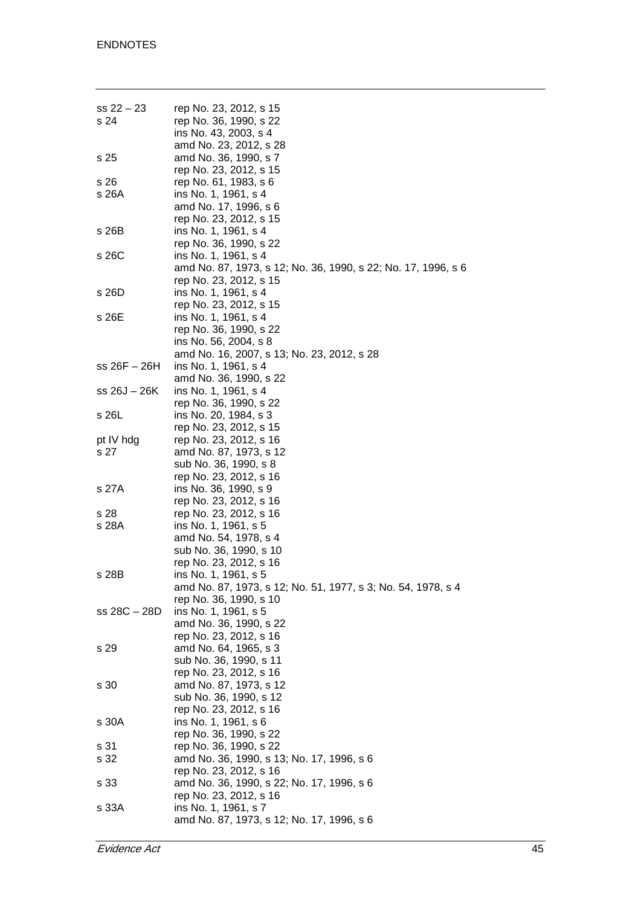| $ss 22 - 23$<br>s 24 | rep No. 23, 2012, s 15<br>rep No. 36, 1990, s 22<br>ins No. 43, 2003, s 4 |
|----------------------|---------------------------------------------------------------------------|
| s 25                 | amd No. 23, 2012, s 28<br>amd No. 36, 1990, s 7<br>rep No. 23, 2012, s 15 |
| s 26                 | rep No. 61, 1983, s 6                                                     |
| s 26A                | ins No. 1, 1961, s 4                                                      |
|                      | amd No. 17, 1996, s 6                                                     |
|                      | rep No. 23, 2012, s 15                                                    |
| s 26B                | ins No. 1, 1961, s 4                                                      |
|                      | rep No. 36, 1990, s 22                                                    |
| s 26C                | ins No. 1, 1961, s 4                                                      |
|                      | amd No. 87, 1973, s 12; No. 36, 1990, s 22; No. 17, 1996, s 6             |
|                      | rep No. 23, 2012, s 15                                                    |
| s 26D                | ins No. 1, 1961, s 4<br>rep No. 23, 2012, s 15                            |
| s 26E                | ins No. 1, 1961, s 4                                                      |
|                      | rep No. 36, 1990, s 22                                                    |
|                      | ins No. 56, 2004, s 8                                                     |
|                      | amd No. 16, 2007, s 13; No. 23, 2012, s 28                                |
| $ss 26F - 26H$       | ins No. 1, 1961, s 4                                                      |
|                      | amd No. 36, 1990, s 22                                                    |
| ss $26J - 26K$       | ins No. 1, 1961, s 4                                                      |
|                      | rep No. 36, 1990, s 22                                                    |
| s 26L                | ins No. 20, 1984, s 3                                                     |
|                      | rep No. 23, 2012, s 15                                                    |
| pt IV hdg            | rep No. 23, 2012, s 16                                                    |
| s 27                 | amd No. 87, 1973, s 12                                                    |
|                      | sub No. 36, 1990, s 8                                                     |
|                      | rep No. 23, 2012, s 16                                                    |
| s 27A                | ins No. 36, 1990, s 9                                                     |
|                      | rep No. 23, 2012, s 16                                                    |
| s 28<br>s 28A        | rep No. 23, 2012, s 16<br>ins No. 1, 1961, s 5                            |
|                      | amd No. 54, 1978, s 4                                                     |
|                      | sub No. 36, 1990, s 10                                                    |
|                      | rep No. 23, 2012, s 16                                                    |
| s 28B                | ins No. 1, 1961, s 5                                                      |
|                      | amd No. 87, 1973, s 12; No. 51, 1977, s 3; No. 54, 1978, s 4              |
|                      | rep No. 36, 1990, s 10                                                    |
| ss 28C - 28D         | ins No. 1, 1961, s 5                                                      |
|                      | amd No. 36, 1990, s 22                                                    |
|                      | rep No. 23, 2012, s 16                                                    |
| s 29                 | amd No. 64, 1965, s 3                                                     |
|                      | sub No. 36, 1990, s 11                                                    |
|                      | rep No. 23, 2012, s 16                                                    |
| s 30                 | amd No. 87, 1973, s 12                                                    |
|                      | sub No. 36, 1990, s 12                                                    |
| s 30A                | rep No. 23, 2012, s 16<br>ins No. 1, 1961, s 6                            |
|                      | rep No. 36, 1990, s 22                                                    |
| s 31                 | rep No. 36, 1990, s 22                                                    |
| s 32                 | amd No. 36, 1990, s 13; No. 17, 1996, s 6                                 |
|                      | rep No. 23, 2012, s 16                                                    |
| s 33                 | amd No. 36, 1990, s 22; No. 17, 1996, s 6                                 |
|                      | rep No. 23, 2012, s 16                                                    |
| s 33A                | ins No. 1, 1961, s 7                                                      |
|                      | amd No. 87, 1973, s 12; No. 17, 1996, s 6                                 |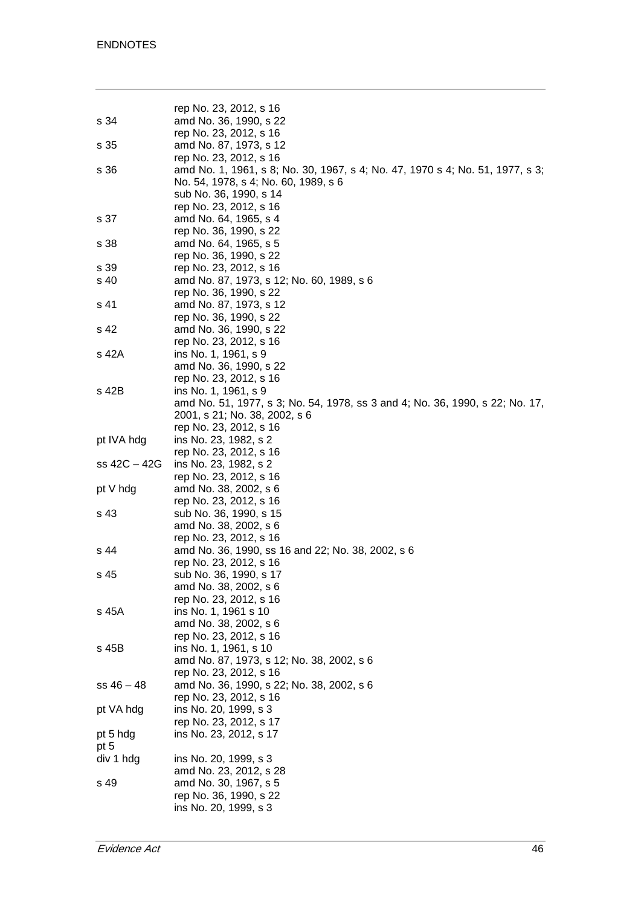|                | rep No. 23, 2012, s 16                                                        |
|----------------|-------------------------------------------------------------------------------|
| s 34           | amd No. 36, 1990, s 22                                                        |
|                | rep No. 23, 2012, s 16                                                        |
| s 35           | amd No. 87, 1973, s 12                                                        |
|                | rep No. 23, 2012, s 16                                                        |
| s 36           | amd No. 1, 1961, s 8; No. 30, 1967, s 4; No. 47, 1970 s 4; No. 51, 1977, s 3; |
|                | No. 54, 1978, s 4; No. 60, 1989, s 6                                          |
|                | sub No. 36, 1990, s 14                                                        |
|                | rep No. 23, 2012, s 16                                                        |
| s 37           | amd No. 64, 1965, s 4                                                         |
|                | rep No. 36, 1990, s 22                                                        |
| s 38           | amd No. 64, 1965, s 5                                                         |
|                | rep No. 36, 1990, s 22                                                        |
| s 39           | rep No. 23, 2012, s 16                                                        |
| s 40           | amd No. 87, 1973, s 12; No. 60, 1989, s 6<br>rep No. 36, 1990, s 22           |
| s 41           | amd No. 87, 1973, s 12                                                        |
|                | rep No. 36, 1990, s 22                                                        |
| s 42           | amd No. 36, 1990, s 22                                                        |
|                | rep No. 23, 2012, s 16                                                        |
| s 42A          | ins No. 1, 1961, s 9                                                          |
|                | amd No. 36, 1990, s 22                                                        |
|                | rep No. 23, 2012, s 16                                                        |
| s 42B          | ins No. 1, 1961, s 9                                                          |
|                | amd No. 51, 1977, s 3; No. 54, 1978, ss 3 and 4; No. 36, 1990, s 22; No. 17,  |
|                | 2001, s 21; No. 38, 2002, s 6                                                 |
|                | rep No. 23, 2012, s 16                                                        |
| pt IVA hdg     | ins No. 23, 1982, s 2                                                         |
|                | rep No. 23, 2012, s 16                                                        |
| ss 42C - 42G   | ins No. 23, 1982, s 2                                                         |
|                | rep No. 23, 2012, s 16                                                        |
| pt V hdg       | amd No. 38, 2002, s 6<br>rep No. 23, 2012, s 16                               |
| s 43           | sub No. 36, 1990, s 15                                                        |
|                | amd No. 38, 2002, s 6                                                         |
|                | rep No. 23, 2012, s 16                                                        |
| s 44           | amd No. 36, 1990, ss 16 and 22; No. 38, 2002, s 6                             |
|                | rep No. 23, 2012, s 16                                                        |
| s 45           | sub No. 36, 1990, s 17                                                        |
|                | amd No. 38, 2002, s 6                                                         |
|                | rep No. 23, 2012, s 16                                                        |
| s 45A          | ins No. 1, 1961 s 10                                                          |
|                | amd No. 38, 2002, s 6                                                         |
|                | rep No. 23, 2012, s 16                                                        |
| s 45B          | ins No. 1, 1961, s 10                                                         |
|                | amd No. 87, 1973, s 12; No. 38, 2002, s 6                                     |
|                | rep No. 23, 2012, s 16                                                        |
| $ss$ 46 $-$ 48 | amd No. 36, 1990, s 22; No. 38, 2002, s 6                                     |
|                | rep No. 23, 2012, s 16                                                        |
| pt VA hdg      | ins No. 20, 1999, s 3<br>rep No. 23, 2012, s 17                               |
| pt 5 hdg       | ins No. 23, 2012, s 17                                                        |
| pt 5           |                                                                               |
| div 1 hdg      | ins No. 20, 1999, s 3                                                         |
|                | amd No. 23, 2012, s 28                                                        |
| s 49           | amd No. 30, 1967, s 5                                                         |
|                | rep No. 36, 1990, s 22                                                        |
|                | ins No. 20, 1999, s 3                                                         |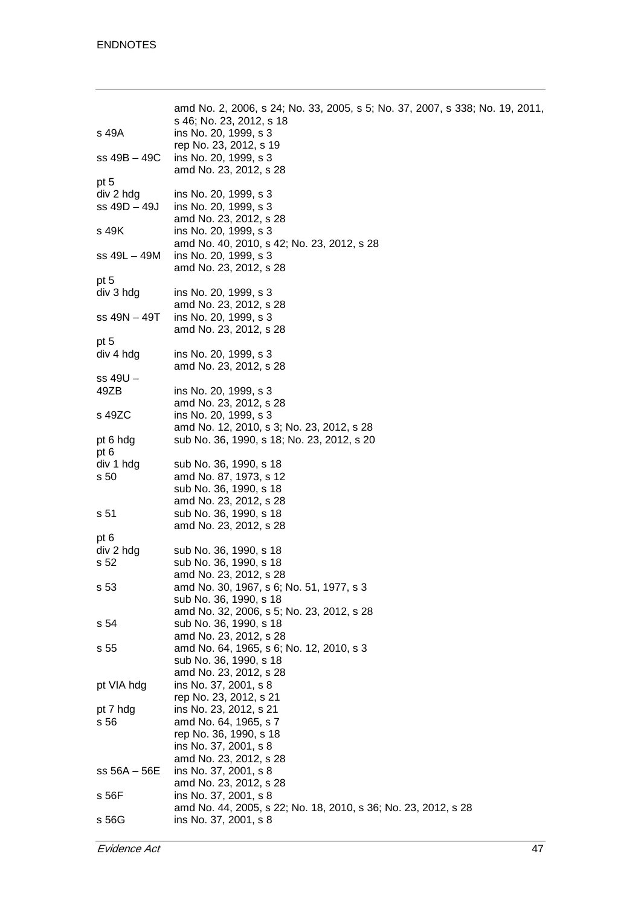|                                   | amd No. 2, 2006, s 24; No. 33, 2005, s 5; No. 37, 2007, s 338; No. 19, 2011,<br>s 46; No. 23, 2012, s 18 |
|-----------------------------------|----------------------------------------------------------------------------------------------------------|
| s 49A                             | ins No. 20, 1999, s 3<br>rep No. 23, 2012, s 19                                                          |
| ss 49B – 49C                      | ins No. 20, 1999, s 3<br>amd No. 23, 2012, s 28                                                          |
| pt 5<br>div 2 hdg<br>ss 49D - 49J | ins No. 20, 1999, s 3<br>ins No. 20, 1999, s 3<br>amd No. 23, 2012, s 28                                 |
| s 49K                             | ins No. 20, 1999, s 3                                                                                    |
| ss 49L - 49M                      | amd No. 40, 2010, s 42; No. 23, 2012, s 28<br>ins No. 20, 1999, s 3<br>amd No. 23, 2012, s 28            |
| pt 5<br>div 3 hdg                 | ins No. 20, 1999, s 3                                                                                    |
|                                   | amd No. 23, 2012, s 28                                                                                   |
| ss 49N – 49T                      | ins No. 20, 1999, s 3<br>amd No. 23, 2012, s 28                                                          |
| pt 5<br>div 4 hdg                 | ins No. 20, 1999, s 3                                                                                    |
|                                   | amd No. 23, 2012, s 28                                                                                   |
| ss 49U –<br>49ZB                  | ins No. 20, 1999, s 3                                                                                    |
|                                   | amd No. 23, 2012, s 28                                                                                   |
| s 49ZC                            | ins No. 20, 1999, s 3                                                                                    |
| pt 6 hdg<br>pt 6                  | amd No. 12, 2010, s 3; No. 23, 2012, s 28<br>sub No. 36, 1990, s 18; No. 23, 2012, s 20                  |
| div 1 hdg                         | sub No. 36, 1990, s 18                                                                                   |
| s 50                              | amd No. 87, 1973, s 12<br>sub No. 36, 1990, s 18                                                         |
|                                   | amd No. 23, 2012, s 28                                                                                   |
| s 51                              | sub No. 36, 1990, s 18<br>amd No. 23, 2012, s 28                                                         |
| pt 6                              |                                                                                                          |
| div 2 hdg<br>s 52                 | sub No. 36, 1990, s 18<br>sub No. 36, 1990, s 18                                                         |
|                                   | amd No. 23, 2012, s 28                                                                                   |
| s 53                              | amd No. 30, 1967, s 6; No. 51, 1977, s 3                                                                 |
|                                   | sub No. 36, 1990, s 18<br>amd No. 32, 2006, s 5; No. 23, 2012, s 28                                      |
| s 54                              | sub No. 36, 1990, s 18                                                                                   |
|                                   | amd No. 23, 2012, s 28                                                                                   |
| s 55                              | amd No. 64, 1965, s 6; No. 12, 2010, s 3<br>sub No. 36, 1990, s 18                                       |
|                                   | amd No. 23, 2012, s 28                                                                                   |
| pt VIA hdg                        | ins No. 37, 2001, s 8                                                                                    |
| pt 7 hdg                          | rep No. 23, 2012, s 21<br>ins No. 23, 2012, s 21                                                         |
| s 56                              | amd No. 64, 1965, s 7                                                                                    |
|                                   | rep No. 36, 1990, s 18                                                                                   |
|                                   | ins No. 37, 2001, s 8<br>amd No. 23, 2012, s 28                                                          |
| ss 56A – 56E                      | ins No. 37, 2001, s 8                                                                                    |
|                                   | amd No. 23, 2012, s 28                                                                                   |
| s 56F                             | ins No. 37, 2001, s 8<br>amd No. 44, 2005, s 22; No. 18, 2010, s 36; No. 23, 2012, s 28                  |
| s 56G                             | ins No. 37, 2001, s 8                                                                                    |